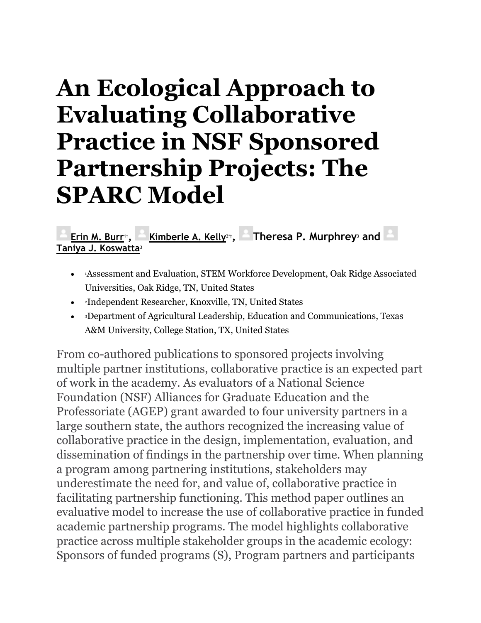# **An Ecological Approach to Evaluating Collaborative Practice in NSF Sponsored Partnership Projects: The SPARC Model**

**[Erin M. Burr](https://www.frontiersin.org/people/u/1428450)**1†**, [Kimberle A. Kelly](https://www.frontiersin.org/people/u/1240318)**2\*†**, Theresa P. Murphrey**<sup>3</sup> **and [Taniya J. Koswatta](https://www.frontiersin.org/people/u/1427700)**<sup>3</sup>

- <sup>1</sup>Assessment and Evaluation, STEM Workforce Development, Oak Ridge Associated Universities, Oak Ridge, TN, United States
- <sup>2</sup>Independent Researcher, Knoxville, TN, United States
- <sup>3</sup>Department of Agricultural Leadership, Education and Communications, Texas A&M University, College Station, TX, United States

From co-authored publications to sponsored projects involving multiple partner institutions, collaborative practice is an expected part of work in the academy. As evaluators of a National Science Foundation (NSF) Alliances for Graduate Education and the Professoriate (AGEP) grant awarded to four university partners in a large southern state, the authors recognized the increasing value of collaborative practice in the design, implementation, evaluation, and dissemination of findings in the partnership over time. When planning a program among partnering institutions, stakeholders may underestimate the need for, and value of, collaborative practice in facilitating partnership functioning. This method paper outlines an evaluative model to increase the use of collaborative practice in funded academic partnership programs. The model highlights collaborative practice across multiple stakeholder groups in the academic ecology: Sponsors of funded programs (S), Program partners and participants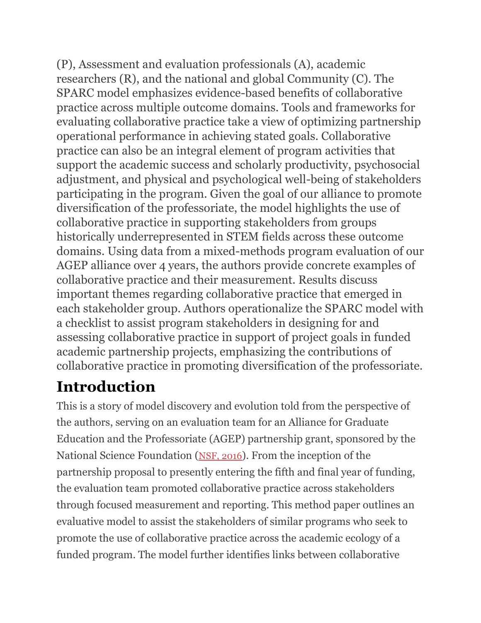(P), Assessment and evaluation professionals (A), academic researchers (R), and the national and global Community (C). The SPARC model emphasizes evidence-based benefits of collaborative practice across multiple outcome domains. Tools and frameworks for evaluating collaborative practice take a view of optimizing partnership operational performance in achieving stated goals. Collaborative practice can also be an integral element of program activities that support the academic success and scholarly productivity, psychosocial adjustment, and physical and psychological well-being of stakeholders participating in the program. Given the goal of our alliance to promote diversification of the professoriate, the model highlights the use of collaborative practice in supporting stakeholders from groups historically underrepresented in STEM fields across these outcome domains. Using data from a mixed-methods program evaluation of our AGEP alliance over 4 years, the authors provide concrete examples of collaborative practice and their measurement. Results discuss important themes regarding collaborative practice that emerged in each stakeholder group. Authors operationalize the SPARC model with a checklist to assist program stakeholders in designing for and assessing collaborative practice in support of project goals in funded academic partnership projects, emphasizing the contributions of collaborative practice in promoting diversification of the professoriate.

# **Introduction**

This is a story of model discovery and evolution told from the perspective of the authors, serving on an evaluation team for an Alliance for Graduate Education and the Professoriate (AGEP) partnership grant, sponsored by the National Science Foundation ([NSF, 2016](https://www.frontiersin.org/articles/10.3389/fpsyg.2021.751660/full#ref39)). From the inception of the partnership proposal to presently entering the fifth and final year of funding, the evaluation team promoted collaborative practice across stakeholders through focused measurement and reporting. This method paper outlines an evaluative model to assist the stakeholders of similar programs who seek to promote the use of collaborative practice across the academic ecology of a funded program. The model further identifies links between collaborative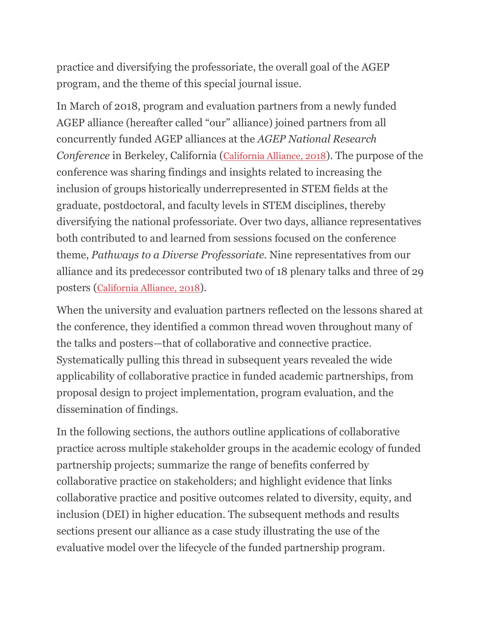practice and diversifying the professoriate, the overall goal of the AGEP program, and the theme of this special journal issue.

In March of 2018, program and evaluation partners from a newly funded AGEP alliance (hereafter called "our" alliance) joined partners from all concurrently funded AGEP alliances at the *AGEP National Research Conference* in Berkeley, California ([California Alliance, 2018](https://www.frontiersin.org/articles/10.3389/fpsyg.2021.751660/full#ref6)). The purpose of the conference was sharing findings and insights related to increasing the inclusion of groups historically underrepresented in STEM fields at the graduate, postdoctoral, and faculty levels in STEM disciplines, thereby diversifying the national professoriate. Over two days, alliance representatives both contributed to and learned from sessions focused on the conference theme, *Pathways to a Diverse Professoriate.* Nine representatives from our alliance and its predecessor contributed two of 18 plenary talks and three of 29 posters ([California Alliance,](https://www.frontiersin.org/articles/10.3389/fpsyg.2021.751660/full#ref6) 2018).

When the university and evaluation partners reflected on the lessons shared at the conference, they identified a common thread woven throughout many of the talks and posters—that of collaborative and connective practice. Systematically pulling this thread in subsequent years revealed the wide applicability of collaborative practice in funded academic partnerships, from proposal design to project implementation, program evaluation, and the dissemination of findings.

In the following sections, the authors outline applications of collaborative practice across multiple stakeholder groups in the academic ecology of funded partnership projects; summarize the range of benefits conferred by collaborative practice on stakeholders; and highlight evidence that links collaborative practice and positive outcomes related to diversity, equity, and inclusion (DEI) in higher education. The subsequent methods and results sections present our alliance as a case study illustrating the use of the evaluative model over the lifecycle of the funded partnership program.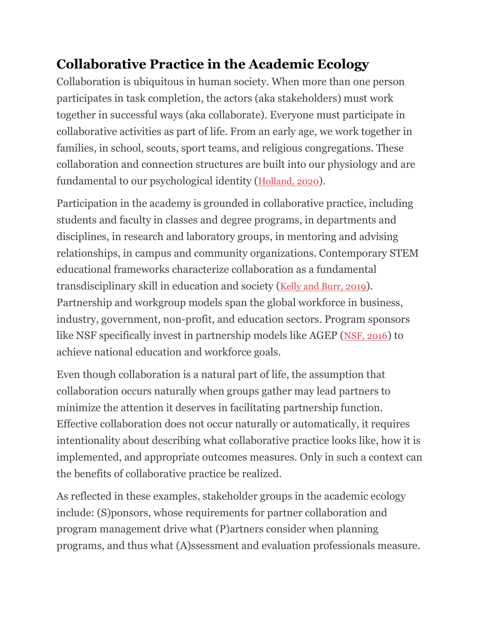## **Collaborative Practice in the Academic Ecology**

Collaboration is ubiquitous in human society. When more than one person participates in task completion, the actors (aka stakeholders) must work together in successful ways (aka collaborate). Everyone must participate in collaborative activities as part of life. From an early age, we work together in families, in school, scouts, sport teams, and religious congregations. These collaboration and connection structures are built into our physiology and are fundamental to our psychological identity ([Holland, 2020](https://www.frontiersin.org/articles/10.3389/fpsyg.2021.751660/full#ref18)).

Participation in the academy is grounded in collaborative practice, including students and faculty in classes and degree programs, in departments and disciplines, in research and laboratory groups, in mentoring and advising relationships, in campus and community organizations. Contemporary STEM educational frameworks characterize collaboration as a fundamental transdisciplinary skill in education and society ([Kelly and Burr, 2019](https://www.frontiersin.org/articles/10.3389/fpsyg.2021.751660/full#ref24)). Partnership and workgroup models span the global workforce in business, industry, government, non-profit, and education sectors. Program sponsors like NSF specifically invest in partnership models like AGEP ([NSF, 2016](https://www.frontiersin.org/articles/10.3389/fpsyg.2021.751660/full#ref39)) to achieve national education and workforce goals.

Even though collaboration is a natural part of life, the assumption that collaboration occurs naturally when groups gather may lead partners to minimize the attention it deserves in facilitating partnership function. Effective collaboration does not occur naturally or automatically, it requires intentionality about describing what collaborative practice looks like, how it is implemented, and appropriate outcomes measures. Only in such a context can the benefits of collaborative practice be realized.

As reflected in these examples, stakeholder groups in the academic ecology include: (S)ponsors, whose requirements for partner collaboration and program management drive what (P)artners consider when planning programs, and thus what (A)ssessment and evaluation professionals measure.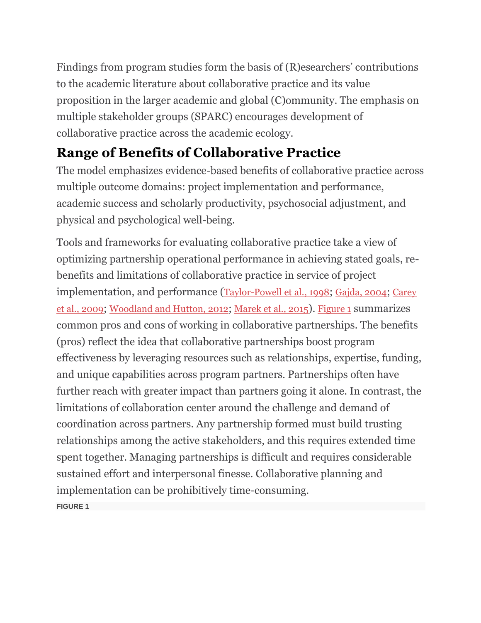Findings from program studies form the basis of (R)esearchers' contributions to the academic literature about collaborative practice and its value proposition in the larger academic and global (C)ommunity. The emphasis on multiple stakeholder groups (SPARC) encourages development of collaborative practice across the academic ecology.

# **Range of Benefits of Collaborative Practice**

The model emphasizes evidence-based benefits of collaborative practice across multiple outcome domains: project implementation and performance, academic success and scholarly productivity, psychosocial adjustment, and physical and psychological well-being.

Tools and frameworks for evaluating collaborative practice take a view of optimizing partnership operational performance in achieving stated goals, rebenefits and limitations of collaborative practice in service of project implementation, and performance ([Taylor-Powell et al., 1998](https://www.frontiersin.org/articles/10.3389/fpsyg.2021.751660/full#ref49); [Gajda, 2004](https://www.frontiersin.org/articles/10.3389/fpsyg.2021.751660/full#ref15); [Carey](https://www.frontiersin.org/articles/10.3389/fpsyg.2021.751660/full#ref7)  [et al., 2009](https://www.frontiersin.org/articles/10.3389/fpsyg.2021.751660/full#ref7); [Woodland and Hutton, 2012](https://www.frontiersin.org/articles/10.3389/fpsyg.2021.751660/full#ref53); [Marek et al., 2015](https://www.frontiersin.org/articles/10.3389/fpsyg.2021.751660/full#ref33)). [Figure 1](https://www.frontiersin.org/articles/10.3389/fpsyg.2021.751660/full#fig1) summarizes common pros and cons of working in collaborative partnerships. The benefits (pros) reflect the idea that collaborative partnerships boost program effectiveness by leveraging resources such as relationships, expertise, funding, and unique capabilities across program partners. Partnerships often have further reach with greater impact than partners going it alone. In contrast, the limitations of collaboration center around the challenge and demand of coordination across partners. Any partnership formed must build trusting relationships among the active stakeholders, and this requires extended time spent together. Managing partnerships is difficult and requires considerable sustained effort and interpersonal finesse. Collaborative planning and implementation can be prohibitively time-consuming. **FIGURE 1**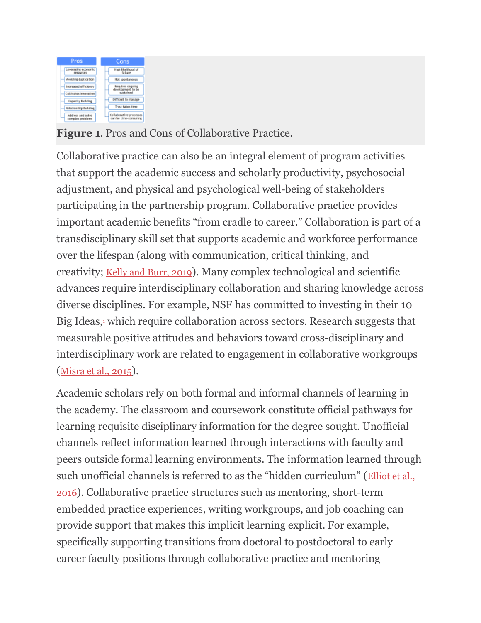| Pros                                          | Cons                                                 |
|-----------------------------------------------|------------------------------------------------------|
| Leveraging economic<br><b>TRIQUICRE</b>       | High Hivalifycod of<br>failure                       |
| Arolding duplication                          | Not spontaneous                                      |
| Increased efficiency<br>Cultivates Innovation | Regulares ongoing<br>development to be<br>suistained |
| <b>Capacity Building</b>                      | <b>bifficult</b> to massee                           |
| Relationship Building                         | Trust takes time                                     |
| <b>Address and solve-</b><br>complex problems | Collaborative processes<br>can be time-consuming     |

**Figure 1**. Pros and Cons of Collaborative Practice.

Collaborative practice can also be an integral element of program activities that support the academic success and scholarly productivity, psychosocial adjustment, and physical and psychological well-being of stakeholders participating in the partnership program. Collaborative practice provides important academic benefits "from cradle to career." Collaboration is part of a transdisciplinary skill set that supports academic and workforce performance over the lifespan (along with communication, critical thinking, and creativity; [Kelly and Burr, 2019](https://www.frontiersin.org/articles/10.3389/fpsyg.2021.751660/full#ref24)). Many complex technological and scientific advances require interdisciplinary collaboration and sharing knowledge across diverse disciplines. For example, NSF has committed to investing in their 10 Big Ideas[,](https://www.frontiersin.org/articles/10.3389/fpsyg.2021.751660/full#fn0001) $\frac{1}{2}$  which require collaboration across sectors. Research suggests that measurable positive attitudes and behaviors toward cross-disciplinary and interdisciplinary work are related to engagement in collaborative workgroups ([Misra et al., 2015](https://www.frontiersin.org/articles/10.3389/fpsyg.2021.751660/full#ref36)).

Academic scholars rely on both formal and informal channels of learning in the academy. The classroom and coursework constitute official pathways for learning requisite disciplinary information for the degree sought. Unofficial channels reflect information learned through interactions with faculty and peers outside formal learning environments. The information learned through such unofficial channels is referred to as the "hidden curriculum" ([Elliot et al.,](https://www.frontiersin.org/articles/10.3389/fpsyg.2021.751660/full#ref12)  [2016](https://www.frontiersin.org/articles/10.3389/fpsyg.2021.751660/full#ref12)). Collaborative practice structures such as mentoring, short-term embedded practice experiences, writing workgroups, and job coaching can provide support that makes this implicit learning explicit. For example, specifically supporting transitions from doctoral to postdoctoral to early career faculty positions through collaborative practice and mentoring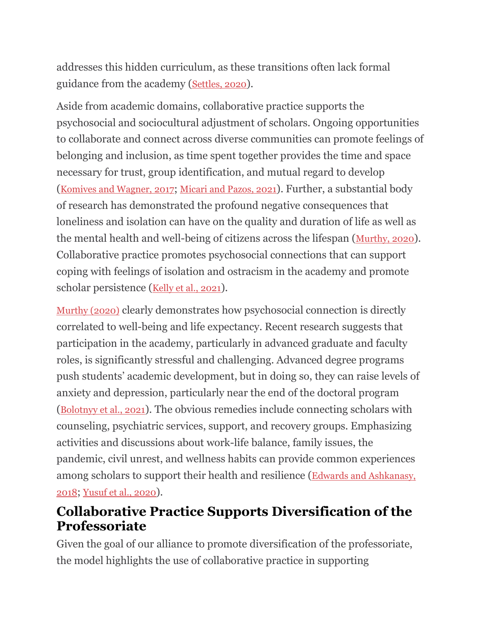addresses this hidden curriculum, as these transitions often lack formal guidance from the academy ([Settles, 2020](https://www.frontiersin.org/articles/10.3389/fpsyg.2021.751660/full#ref46)).

Aside from academic domains, collaborative practice supports the psychosocial and sociocultural adjustment of scholars. Ongoing opportunities to collaborate and connect across diverse communities can promote feelings of belonging and inclusion, as time spent together provides the time and space necessary for trust, group identification, and mutual regard to develop ([Komives and Wagner, 2017](https://www.frontiersin.org/articles/10.3389/fpsyg.2021.751660/full#ref29); [Micari and Pazos, 2021](https://www.frontiersin.org/articles/10.3389/fpsyg.2021.751660/full#ref35)). Further, a substantial body of research has demonstrated the profound negative consequences that loneliness and isolation can have on the quality and duration of life as well as the mental health and well-being of citizens across the lifespan ([Murthy, 2020](https://www.frontiersin.org/articles/10.3389/fpsyg.2021.751660/full#ref38)). Collaborative practice promotes psychosocial connections that can support coping with feelings of isolation and ostracism in the academy and promote scholar persistence ([Kelly et al., 2021](https://www.frontiersin.org/articles/10.3389/fpsyg.2021.751660/full#ref27)).

[Murthy \(2020\)](https://www.frontiersin.org/articles/10.3389/fpsyg.2021.751660/full#ref38) clearly demonstrates how psychosocial connection is directly correlated to well-being and life expectancy. Recent research suggests that participation in the academy, particularly in advanced graduate and faculty roles, is significantly stressful and challenging. Advanced degree programs push students' academic development, but in doing so, they can raise levels of anxiety and depression, particularly near the end of the doctoral program ([Bolotnyy et al., 2021](https://www.frontiersin.org/articles/10.3389/fpsyg.2021.751660/full#ref3)). The obvious remedies include connecting scholars with counseling, psychiatric services, support, and recovery groups. Emphasizing activities and discussions about work-life balance, family issues, the pandemic, civil unrest, and wellness habits can provide common experiences among scholars to support their health and resilience ([Edwards and Ashkanasy,](https://www.frontiersin.org/articles/10.3389/fpsyg.2021.751660/full#ref11)  [2018](https://www.frontiersin.org/articles/10.3389/fpsyg.2021.751660/full#ref11); [Yusuf et al., 2020](https://www.frontiersin.org/articles/10.3389/fpsyg.2021.751660/full#ref55)).

## **Collaborative Practice Supports Diversification of the Professoriate**

Given the goal of our alliance to promote diversification of the professoriate, the model highlights the use of collaborative practice in supporting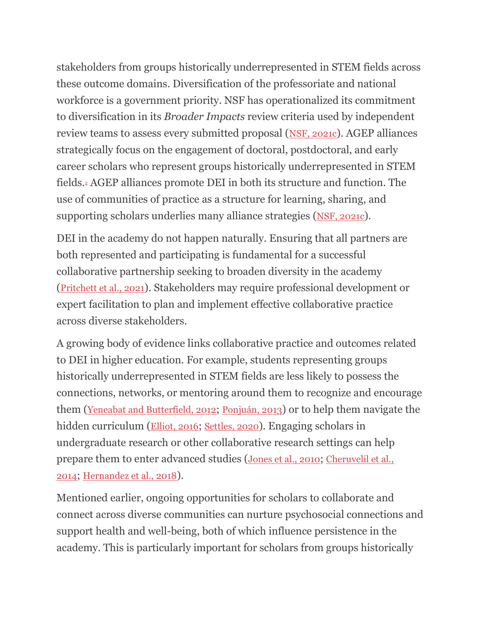stakeholders from groups historically underrepresented in STEM fields across these outcome domains. Diversification of the professoriate and national workforce is a government priority. NSF has operationalized its commitment to diversification in its *Broader Impacts* review criteria used by independent review teams to assess every submitted proposal ([NSF, 2021c](https://www.frontiersin.org/articles/10.3389/fpsyg.2021.751660/full#ref42)). AGEP alliances strategically focus on the engagement of doctoral, postdoctoral, and early career scholars who represent groups historically underrepresented in STEM fields[.](https://www.frontiersin.org/articles/10.3389/fpsyg.2021.751660/full#fn0002)<sup>2</sup> AGEP alliances promote DEI in both its structure and function. The use of communities of practice as a structure for learning, sharing, and supporting scholars underlies many alliance strategies ([NSF, 2021c](https://www.frontiersin.org/articles/10.3389/fpsyg.2021.751660/full#ref42)).

DEI in the academy do not happen naturally. Ensuring that all partners are both represented and participating is fundamental for a successful collaborative partnership seeking to broaden diversity in the academy ([Pritchett et al., 2021](https://www.frontiersin.org/articles/10.3389/fpsyg.2021.751660/full#ref45)). Stakeholders may require professional development or expert facilitation to plan and implement effective collaborative practice across diverse stakeholders.

A growing body of evidence links collaborative practice and outcomes related to DEI in higher education. For example, students representing groups historically underrepresented in STEM fields are less likely to possess the connections, networks, or mentoring around them to recognize and encourage them ([Yeneabat and Butterfield, 2012](https://www.frontiersin.org/articles/10.3389/fpsyg.2021.751660/full#ref54); [Ponjuán, 2013](https://www.frontiersin.org/articles/10.3389/fpsyg.2021.751660/full#ref44)) or to help them navigate the hidden curriculum ([Elliot, 2016](https://www.frontiersin.org/articles/10.3389/fpsyg.2021.751660/full#ref12); [Settles, 2020](https://www.frontiersin.org/articles/10.3389/fpsyg.2021.751660/full#ref46)). Engaging scholars in undergraduate research or other collaborative research settings can help prepare them to enter advanced studies ([Jones et al., 2010](https://www.frontiersin.org/articles/10.3389/fpsyg.2021.751660/full#ref22); [Cheruvelil et al.,](https://www.frontiersin.org/articles/10.3389/fpsyg.2021.751660/full#ref8)  [2014](https://www.frontiersin.org/articles/10.3389/fpsyg.2021.751660/full#ref8); [Hernandez et al., 2018](https://www.frontiersin.org/articles/10.3389/fpsyg.2021.751660/full#ref17)).

Mentioned earlier, ongoing opportunities for scholars to collaborate and connect across diverse communities can nurture psychosocial connections and support health and well-being, both of which influence persistence in the academy. This is particularly important for scholars from groups historically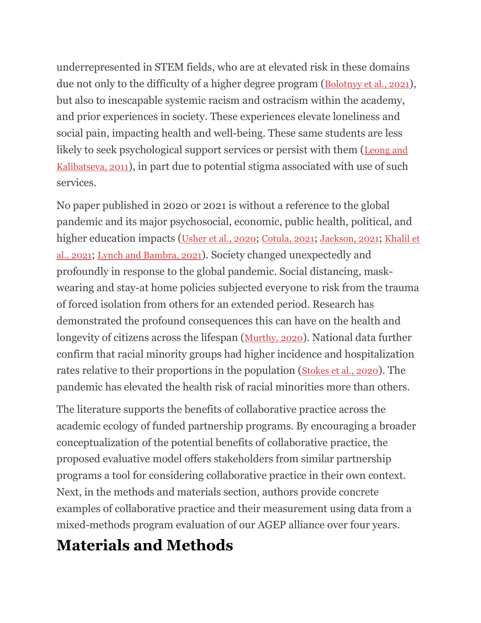underrepresented in STEM fields, who are at elevated risk in these domains due not only to the difficulty of a higher degree program (Bolotny et al., 2021), but also to inescapable systemic racism and ostracism within the academy, and prior experiences in society. These experiences elevate loneliness and social pain, impacting health and well-being. These same students are less likely to seek psychological support services or persist with them ([Leong and](https://www.frontiersin.org/articles/10.3389/fpsyg.2021.751660/full#ref31)  [Kalibatseva, 2011](https://www.frontiersin.org/articles/10.3389/fpsyg.2021.751660/full#ref31)), in part due to potential stigma associated with use of such services.

No paper published in 2020 or 2021 is without a reference to the global pandemic and its major psychosocial, economic, public health, political, and higher education impacts ([Usher et al., 2020](https://www.frontiersin.org/articles/10.3389/fpsyg.2021.751660/full#ref51); [Cotula, 2021](https://www.frontiersin.org/articles/10.3389/fpsyg.2021.751660/full#ref9); [Jackson, 2021](https://www.frontiersin.org/articles/10.3389/fpsyg.2021.751660/full#ref20); [Khalil et](https://www.frontiersin.org/articles/10.3389/fpsyg.2021.751660/full#ref28)  [al., 2021](https://www.frontiersin.org/articles/10.3389/fpsyg.2021.751660/full#ref28); [Lynch and Bambra, 2021](https://www.frontiersin.org/articles/10.3389/fpsyg.2021.751660/full#ref32)). Society changed unexpectedly and profoundly in response to the global pandemic. Social distancing, maskwearing and stay-at home policies subjected everyone to risk from the trauma of forced isolation from others for an extended period. Research has demonstrated the profound consequences this can have on the health and longevity of citizens across the lifespan ([Murthy, 2020](https://www.frontiersin.org/articles/10.3389/fpsyg.2021.751660/full#ref38)). National data further confirm that racial minority groups had higher incidence and hospitalization rates relative to their proportions in the population ([Stokes et al., 2020](https://www.frontiersin.org/articles/10.3389/fpsyg.2021.751660/full#ref47)). The pandemic has elevated the health risk of racial minorities more than others.

The literature supports the benefits of collaborative practice across the academic ecology of funded partnership programs. By encouraging a broader conceptualization of the potential benefits of collaborative practice, the proposed evaluative model offers stakeholders from similar partnership programs a tool for considering collaborative practice in their own context. Next, in the methods and materials section, authors provide concrete examples of collaborative practice and their measurement using data from a mixed-methods program evaluation of our AGEP alliance over four years.

# **Materials and Methods**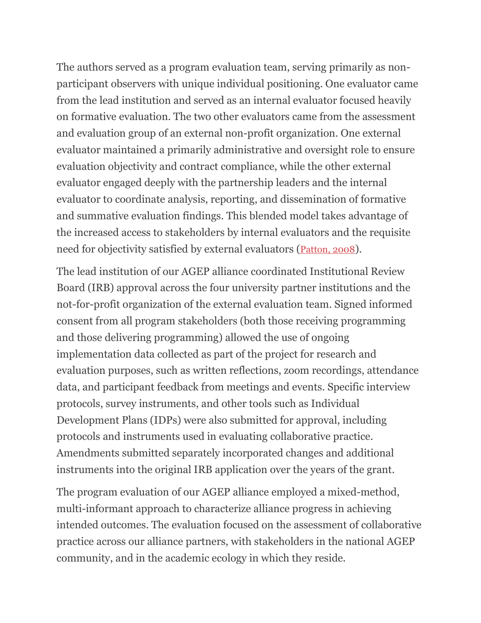The authors served as a program evaluation team, serving primarily as nonparticipant observers with unique individual positioning. One evaluator came from the lead institution and served as an internal evaluator focused heavily on formative evaluation. The two other evaluators came from the assessment and evaluation group of an external non-profit organization. One external evaluator maintained a primarily administrative and oversight role to ensure evaluation objectivity and contract compliance, while the other external evaluator engaged deeply with the partnership leaders and the internal evaluator to coordinate analysis, reporting, and dissemination of formative and summative evaluation findings. This blended model takes advantage of the increased access to stakeholders by internal evaluators and the requisite need for objectivity satisfied by external evaluators ([Patton, 2008](https://www.frontiersin.org/articles/10.3389/fpsyg.2021.751660/full#ref43)).

The lead institution of our AGEP alliance coordinated Institutional Review Board (IRB) approval across the four university partner institutions and the not-for-profit organization of the external evaluation team. Signed informed consent from all program stakeholders (both those receiving programming and those delivering programming) allowed the use of ongoing implementation data collected as part of the project for research and evaluation purposes, such as written reflections, zoom recordings, attendance data, and participant feedback from meetings and events. Specific interview protocols, survey instruments, and other tools such as Individual Development Plans (IDPs) were also submitted for approval, including protocols and instruments used in evaluating collaborative practice. Amendments submitted separately incorporated changes and additional instruments into the original IRB application over the years of the grant.

The program evaluation of our AGEP alliance employed a mixed-method, multi-informant approach to characterize alliance progress in achieving intended outcomes. The evaluation focused on the assessment of collaborative practice across our alliance partners, with stakeholders in the national AGEP community, and in the academic ecology in which they reside.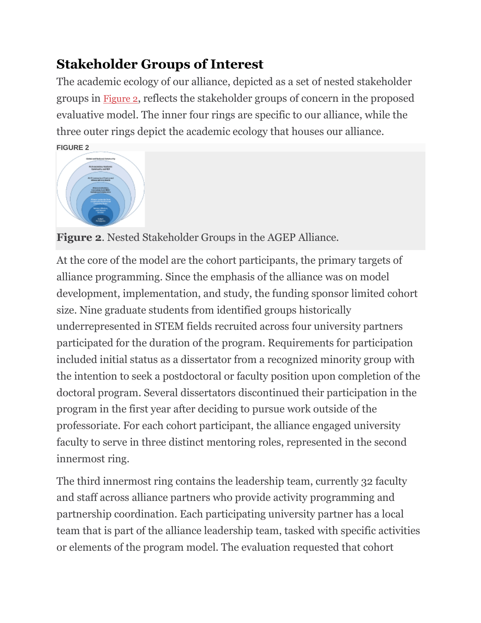## **Stakeholder Groups of Interest**

The academic ecology of our alliance, depicted as a set of nested stakeholder groups in [Figure 2](https://www.frontiersin.org/articles/10.3389/fpsyg.2021.751660/full#fig2), reflects the stakeholder groups of concern in the proposed evaluative model. The inner four rings are specific to our alliance, while the three outer rings depict the academic ecology that houses our alliance. **[FIGURE 2](https://www.frontiersin.org/files/Articles/751660/fpsyg-12-751660-HTML-r1/image_m/fpsyg-12-751660-g002.jpg)**



**Figure 2**. Nested Stakeholder Groups in the AGEP Alliance.

At the core of the model are the cohort participants, the primary targets of alliance programming. Since the emphasis of the alliance was on model development, implementation, and study, the funding sponsor limited cohort size. Nine graduate students from identified groups historically underrepresented in STEM fields recruited across four university partners participated for the duration of the program. Requirements for participation included initial status as a dissertator from a recognized minority group with the intention to seek a postdoctoral or faculty position upon completion of the doctoral program. Several dissertators discontinued their participation in the program in the first year after deciding to pursue work outside of the professoriate. For each cohort participant, the alliance engaged university faculty to serve in three distinct mentoring roles, represented in the second innermost ring.

The third innermost ring contains the leadership team, currently 32 faculty and staff across alliance partners who provide activity programming and partnership coordination. Each participating university partner has a local team that is part of the alliance leadership team, tasked with specific activities or elements of the program model. The evaluation requested that cohort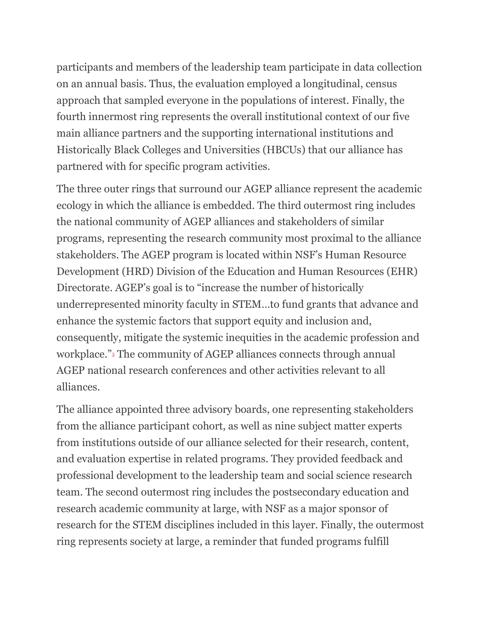participants and members of the leadership team participate in data collection on an annual basis. Thus, the evaluation employed a longitudinal, census approach that sampled everyone in the populations of interest. Finally, the fourth innermost ring represents the overall institutional context of our five main alliance partners and the supporting international institutions and Historically Black Colleges and Universities (HBCUs) that our alliance has partnered with for specific program activities.

The three outer rings that surround our AGEP alliance represent the academic ecology in which the alliance is embedded. The third outermost ring includes the national community of AGEP alliances and stakeholders of similar programs, representing the research community most proximal to the alliance stakeholders. The AGEP program is located within NSF's Human Resource Development (HRD) Division of the Education and Human Resources (EHR) Directorate. AGEP's goal is to "increase the number of historically underrepresented minority faculty in STEM…to fund grants that advance and enhance the systemic factors that support equity and inclusion and, consequently, mitigate the systemic inequities in the academic profession and workplace.["](https://www.frontiersin.org/articles/10.3389/fpsyg.2021.751660/full#fn0003)<sup>3</sup> The community of AGEP alliances connects through annual AGEP national research conferences and other activities relevant to all alliances.

The alliance appointed three advisory boards, one representing stakeholders from the alliance participant cohort, as well as nine subject matter experts from institutions outside of our alliance selected for their research, content, and evaluation expertise in related programs. They provided feedback and professional development to the leadership team and social science research team. The second outermost ring includes the postsecondary education and research academic community at large, with NSF as a major sponsor of research for the STEM disciplines included in this layer. Finally, the outermost ring represents society at large, a reminder that funded programs fulfill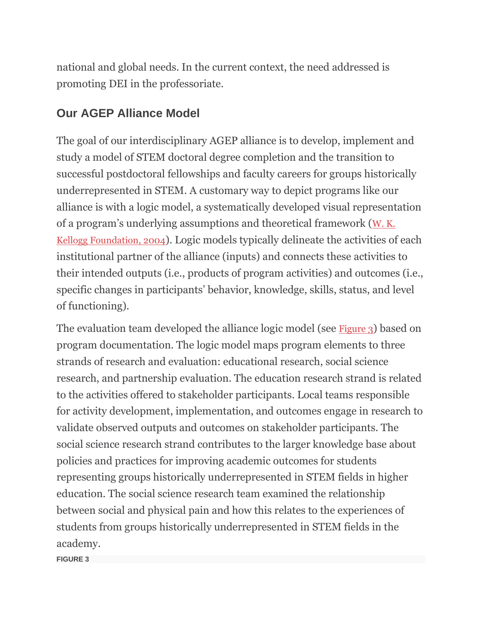national and global needs. In the current context, the need addressed is promoting DEI in the professoriate.

## **Our AGEP Alliance Model**

The goal of our interdisciplinary AGEP alliance is to develop, implement and study a model of STEM doctoral degree completion and the transition to successful postdoctoral fellowships and faculty careers for groups historically underrepresented in STEM. A customary way to depict programs like our alliance is with a logic model, a systematically developed visual representation of a program's underlying assumptions and theoretical framework ([W. K.](https://www.frontiersin.org/articles/10.3389/fpsyg.2021.751660/full#ref52)  [Kellogg Foundation, 2004](https://www.frontiersin.org/articles/10.3389/fpsyg.2021.751660/full#ref52)). Logic models typically delineate the activities of each institutional partner of the alliance (inputs) and connects these activities to their intended outputs (i.e., products of program activities) and outcomes (i.e., specific changes in participants' behavior, knowledge, skills, status, and level of functioning).

The evaluation team developed the alliance logic model (see [Figure 3](https://www.frontiersin.org/articles/10.3389/fpsyg.2021.751660/full#fig3)) based on program documentation. The logic model maps program elements to three strands of research and evaluation: educational research, social science research, and partnership evaluation. The education research strand is related to the activities offered to stakeholder participants. Local teams responsible for activity development, implementation, and outcomes engage in research to validate observed outputs and outcomes on stakeholder participants. The social science research strand contributes to the larger knowledge base about policies and practices for improving academic outcomes for students representing groups historically underrepresented in STEM fields in higher education. The social science research team examined the relationship between social and physical pain and how this relates to the experiences of students from groups historically underrepresented in STEM fields in the academy.

**FIGURE 3**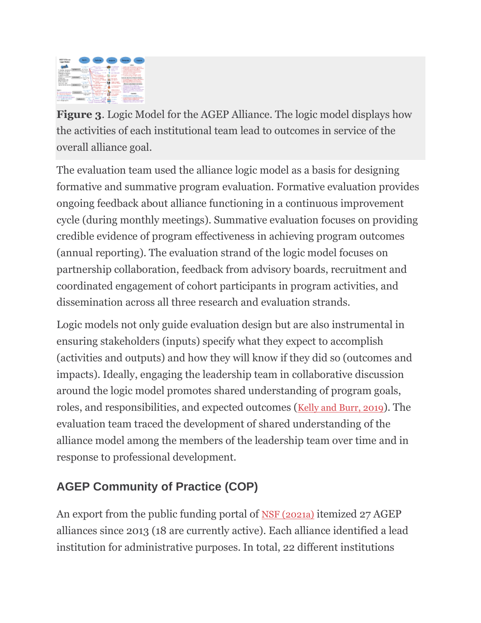

**Figure 3**. Logic Model for the AGEP Alliance. The logic model displays how the activities of each institutional team lead to outcomes in service of the overall alliance goal.

The evaluation team used the alliance logic model as a basis for designing formative and summative program evaluation. Formative evaluation provides ongoing feedback about alliance functioning in a continuous improvement cycle (during monthly meetings). Summative evaluation focuses on providing credible evidence of program effectiveness in achieving program outcomes (annual reporting). The evaluation strand of the logic model focuses on partnership collaboration, feedback from advisory boards, recruitment and coordinated engagement of cohort participants in program activities, and dissemination across all three research and evaluation strands.

Logic models not only guide evaluation design but are also instrumental in ensuring stakeholders (inputs) specify what they expect to accomplish (activities and outputs) and how they will know if they did so (outcomes and impacts). Ideally, engaging the leadership team in collaborative discussion around the logic model promotes shared understanding of program goals, roles, and responsibilities, and expected outcomes ([Kelly and Burr, 2019](https://www.frontiersin.org/articles/10.3389/fpsyg.2021.751660/full#ref24)). The evaluation team traced the development of shared understanding of the alliance model among the members of the leadership team over time and in response to professional development.

## **AGEP Community of Practice (COP)**

An export from the public funding portal of [NSF \(2021a\)](https://www.frontiersin.org/articles/10.3389/fpsyg.2021.751660/full#ref40) itemized 27 AGEP alliances since 2013 (18 are currently active). Each alliance identified a lead institution for administrative purposes. In total, 22 different institutions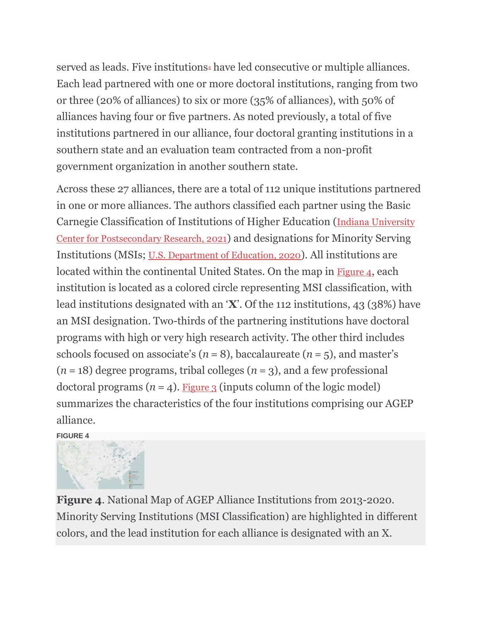[s](https://www.frontiersin.org/articles/10.3389/fpsyg.2021.751660/full#fn0004)erved as leads. Five institutions<sup>4</sup> have led consecutive or multiple alliances. Each lead partnered with one or more doctoral institutions, ranging from two or three (20% of alliances) to six or more (35% of alliances), with 50% of alliances having four or five partners. As noted previously, a total of five institutions partnered in our alliance, four doctoral granting institutions in a southern state and an evaluation team contracted from a non-profit government organization in another southern state.

Across these 27 alliances, there are a total of 112 unique institutions partnered in one or more alliances. The authors classified each partner using the Basic Carnegie Classification of Institutions of Higher Education ([Indiana University](https://www.frontiersin.org/articles/10.3389/fpsyg.2021.751660/full#ref19)  [Center for Postsecondary Research, 2021](https://www.frontiersin.org/articles/10.3389/fpsyg.2021.751660/full#ref19)) and designations for Minority Serving Institutions (MSIs; [U.S. Department of Education, 2020](https://www.frontiersin.org/articles/10.3389/fpsyg.2021.751660/full#ref50)). All institutions are located within the continental United States. On the map in [Figure 4](https://www.frontiersin.org/articles/10.3389/fpsyg.2021.751660/full#fig4), each institution is located as a colored circle representing MSI classification, with lead institutions designated with an '**X**'. Of the 112 institutions, 43 (38%) have an MSI designation. Two-thirds of the partnering institutions have doctoral programs with high or very high research activity. The other third includes schools focused on associate's  $(n = 8)$ , baccalaureate  $(n = 5)$ , and master's  $(n = 18)$  degree programs, tribal colleges  $(n = 3)$ , and a few professional doctoral programs  $(n = 4)$ . [Figure 3](https://www.frontiersin.org/articles/10.3389/fpsyg.2021.751660/full#fig3) (inputs column of the logic model) summarizes the characteristics of the four institutions comprising our AGEP alliance.

#### **[FIGURE 4](https://www.frontiersin.org/files/Articles/751660/fpsyg-12-751660-HTML-r1/image_m/fpsyg-12-751660-g004.jpg)**



**Figure 4**. National Map of AGEP Alliance Institutions from 2013-2020. Minority Serving Institutions (MSI Classification) are highlighted in different colors, and the lead institution for each alliance is designated with an X.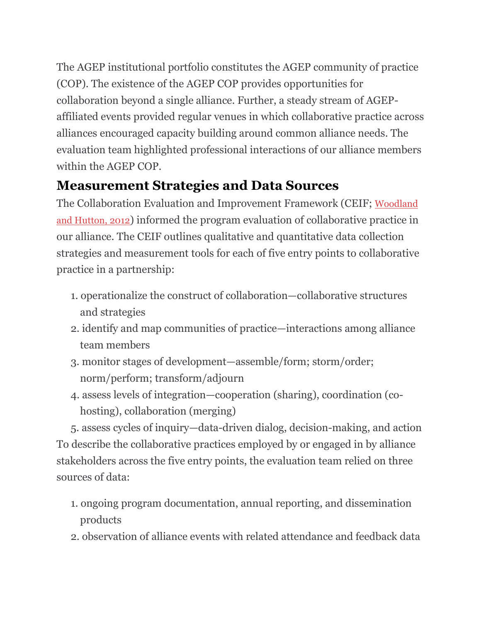The AGEP institutional portfolio constitutes the AGEP community of practice (COP). The existence of the AGEP COP provides opportunities for collaboration beyond a single alliance. Further, a steady stream of AGEPaffiliated events provided regular venues in which collaborative practice across alliances encouraged capacity building around common alliance needs. The evaluation team highlighted professional interactions of our alliance members within the AGEP COP.

## **Measurement Strategies and Data Sources**

The Collaboration Evaluation and Improvement Framework (CEIF; [Woodland](https://www.frontiersin.org/articles/10.3389/fpsyg.2021.751660/full#ref53)  [and Hutton, 2012](https://www.frontiersin.org/articles/10.3389/fpsyg.2021.751660/full#ref53)) informed the program evaluation of collaborative practice in our alliance. The CEIF outlines qualitative and quantitative data collection strategies and measurement tools for each of five entry points to collaborative practice in a partnership:

- 1. operationalize the construct of collaboration—collaborative structures and strategies
- 2. identify and map communities of practice—interactions among alliance team members
- 3. monitor stages of development—assemble/form; storm/order; norm/perform; transform/adjourn
- 4. assess levels of integration—cooperation (sharing), coordination (cohosting), collaboration (merging)

5. assess cycles of inquiry—data-driven dialog, decision-making, and action To describe the collaborative practices employed by or engaged in by alliance stakeholders across the five entry points, the evaluation team relied on three sources of data:

- 1. ongoing program documentation, annual reporting, and dissemination products
- 2. observation of alliance events with related attendance and feedback data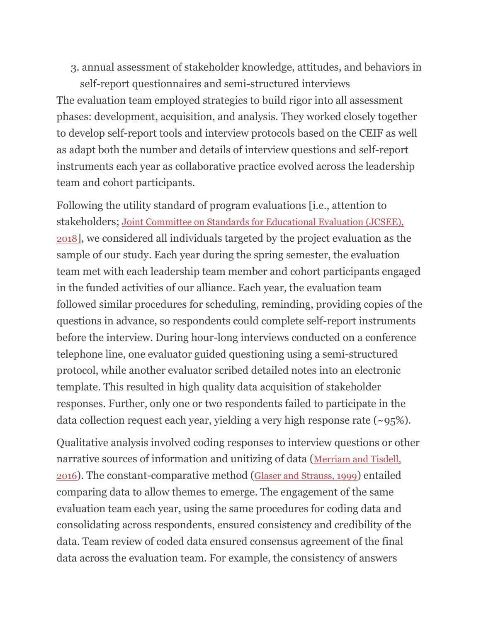3. annual assessment of stakeholder knowledge, attitudes, and behaviors in

self-report questionnaires and semi-structured interviews The evaluation team employed strategies to build rigor into all assessment phases: development, acquisition, and analysis. They worked closely together to develop self-report tools and interview protocols based on the CEIF as well as adapt both the number and details of interview questions and self-report instruments each year as collaborative practice evolved across the leadership team and cohort participants.

Following the utility standard of program evaluations [i.e., attention to stakeholders; [Joint Committee on Standards for Educational Evaluation \(JCSEE\),](https://www.frontiersin.org/articles/10.3389/fpsyg.2021.751660/full#ref21)  [2018](https://www.frontiersin.org/articles/10.3389/fpsyg.2021.751660/full#ref21)], we considered all individuals targeted by the project evaluation as the sample of our study. Each year during the spring semester, the evaluation team met with each leadership team member and cohort participants engaged in the funded activities of our alliance. Each year, the evaluation team followed similar procedures for scheduling, reminding, providing copies of the questions in advance, so respondents could complete self-report instruments before the interview. During hour-long interviews conducted on a conference telephone line, one evaluator guided questioning using a semi-structured protocol, while another evaluator scribed detailed notes into an electronic template. This resulted in high quality data acquisition of stakeholder responses. Further, only one or two respondents failed to participate in the data collection request each year, yielding a very high response rate (~95%).

Qualitative analysis involved coding responses to interview questions or other narrative sources of information and unitizing of data ([Merriam and Tisdell,](https://www.frontiersin.org/articles/10.3389/fpsyg.2021.751660/full#ref34)  [2016](https://www.frontiersin.org/articles/10.3389/fpsyg.2021.751660/full#ref34)). The constant-comparative method ([Glaser and Strauss, 1999](https://www.frontiersin.org/articles/10.3389/fpsyg.2021.751660/full#ref16)) entailed comparing data to allow themes to emerge. The engagement of the same evaluation team each year, using the same procedures for coding data and consolidating across respondents, ensured consistency and credibility of the data. Team review of coded data ensured consensus agreement of the final data across the evaluation team. For example, the consistency of answers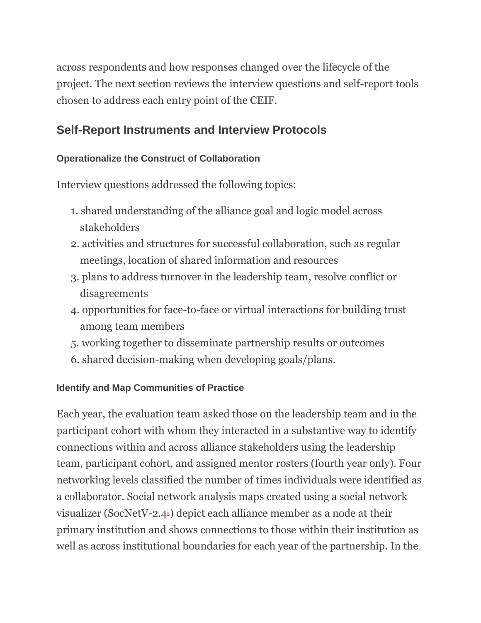across respondents and how responses changed over the lifecycle of the project. The next section reviews the interview questions and self-report tools chosen to address each entry point of the CEIF.

## **Self-Report Instruments and Interview Protocols**

## **Operationalize the Construct of Collaboration**

Interview questions addressed the following topics:

- 1. shared understanding of the alliance goal and logic model across stakeholders
- 2. activities and structures for successful collaboration, such as regular meetings, location of shared information and resources
- 3. plans to address turnover in the leadership team, resolve conflict or disagreements
- 4. opportunities for face-to-face or virtual interactions for building trust among team members
- 5. working together to disseminate partnership results or outcomes
- 6. shared decision-making when developing goals/plans.

## **Identify and Map Communities of Practice**

Each year, the evaluation team asked those on the leadership team and in the participant cohort with whom they interacted in a substantive way to identify connections within and across alliance stakeholders using the leadership team, participant cohort, and assigned mentor rosters (fourth year only). Four networking levels classified the number of times individuals were identified as a collaborator. Social network analysis maps created using a social network visualizer (SocNetV-2.[4](https://www.frontiersin.org/articles/10.3389/fpsyg.2021.751660/full#fn0005)5) depict each alliance member as a node at their primary institution and shows connections to those within their institution as well as across institutional boundaries for each year of the partnership. In the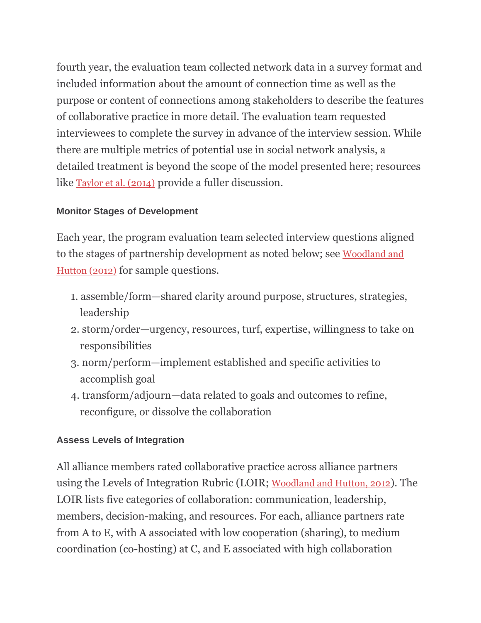fourth year, the evaluation team collected network data in a survey format and included information about the amount of connection time as well as the purpose or content of connections among stakeholders to describe the features of collaborative practice in more detail. The evaluation team requested interviewees to complete the survey in advance of the interview session. While there are multiple metrics of potential use in social network analysis, a detailed treatment is beyond the scope of the model presented here; resources like [Taylor et al. \(2014\)](https://www.frontiersin.org/articles/10.3389/fpsyg.2021.751660/full#ref48) provide a fuller discussion.

## **Monitor Stages of Development**

Each year, the program evaluation team selected interview questions aligned to the stages of partnership development as noted below; see [Woodland and](https://www.frontiersin.org/articles/10.3389/fpsyg.2021.751660/full#ref53)  [Hutton \(2012\)](https://www.frontiersin.org/articles/10.3389/fpsyg.2021.751660/full#ref53) for sample questions.

- 1. assemble/form—shared clarity around purpose, structures, strategies, leadership
- 2. storm/order—urgency, resources, turf, expertise, willingness to take on responsibilities
- 3. norm/perform—implement established and specific activities to accomplish goal
- 4. transform/adjourn—data related to goals and outcomes to refine, reconfigure, or dissolve the collaboration

## **Assess Levels of Integration**

All alliance members rated collaborative practice across alliance partners using the Levels of Integration Rubric (LOIR; [Woodland and Hutton, 2012](https://www.frontiersin.org/articles/10.3389/fpsyg.2021.751660/full#ref53)). The LOIR lists five categories of collaboration: communication, leadership, members, decision-making, and resources. For each, alliance partners rate from A to E, with A associated with low cooperation (sharing), to medium coordination (co-hosting) at C, and E associated with high collaboration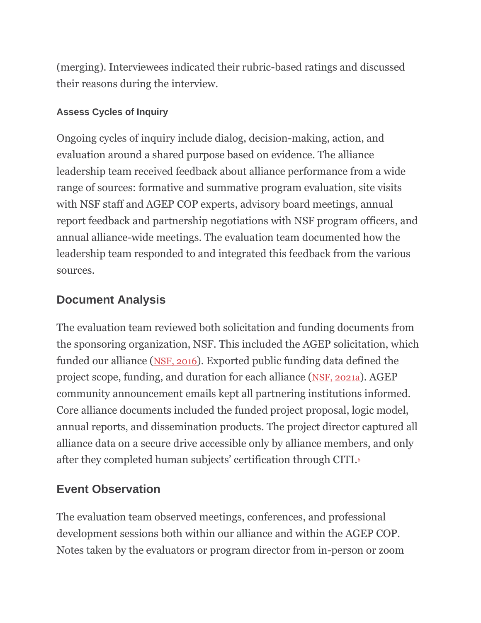(merging). Interviewees indicated their rubric-based ratings and discussed their reasons during the interview.

## **Assess Cycles of Inquiry**

Ongoing cycles of inquiry include dialog, decision-making, action, and evaluation around a shared purpose based on evidence. The alliance leadership team received feedback about alliance performance from a wide range of sources: formative and summative program evaluation, site visits with NSF staff and AGEP COP experts, advisory board meetings, annual report feedback and partnership negotiations with NSF program officers, and annual alliance-wide meetings. The evaluation team documented how the leadership team responded to and integrated this feedback from the various sources.

## **Document Analysis**

The evaluation team reviewed both solicitation and funding documents from the sponsoring organization, NSF. This included the AGEP solicitation, which funded our alliance ([NSF, 2016](https://www.frontiersin.org/articles/10.3389/fpsyg.2021.751660/full#ref39)). Exported public funding data defined the project scope, funding, and duration for each alliance ([NSF, 2021a](https://www.frontiersin.org/articles/10.3389/fpsyg.2021.751660/full#ref40)). AGEP community announcement emails kept all partnering institutions informed. Core alliance documents included the funded project proposal, logic model, annual reports, and dissemination products. The project director captured all alliance data on a secure drive accessible only by alliance members, and only after they completed human subjects' certification through CITI[.](https://www.frontiersin.org/articles/10.3389/fpsyg.2021.751660/full#fn0006)<sup>6</sup>

## **Event Observation**

The evaluation team observed meetings, conferences, and professional development sessions both within our alliance and within the AGEP COP. Notes taken by the evaluators or program director from in-person or zoom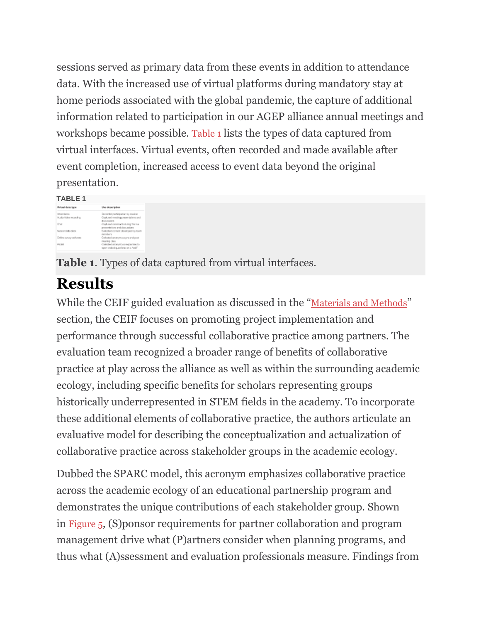sessions served as primary data from these events in addition to attendance data. With the increased use of virtual platforms during mandatory stay at home periods associated with the global pandemic, the capture of additional information related to participation in our AGEP alliance annual meetings and workshops became possible. [Table 1](https://www.frontiersin.org/articles/10.3389/fpsyg.2021.751660/full#tab1) lists the types of data captured from virtual interfaces. Virtual events, often recorded and made available after event completion, increased access to event data beyond the original presentation.

#### **TABLE 1**

| Wrhad data type          | Lise deseription                                                      |
|--------------------------|-----------------------------------------------------------------------|
| AT ARCBAYON              | Recorded carticipation by eastion                                     |
| Audo Video recording     | Copk.ned meeting presentations and<br>domasiers.                      |
| Chut                     | Capituand comments clusing the fire<br>proortations and documbers     |
| Master state clash       | Callerked content developmility toom<br>mandons                       |
| Online survey self-years | Collected anonymous pro and post<br>macing data.                      |
| PAGE                     | Collected anonymous engagement to<br>epen-onded questions on a "self" |

**Table 1**. Types of data captured from virtual interfaces.

# **Results**

While the CEIF guided evaluation as discussed in the "[Materials and Methods](https://www.frontiersin.org/articles/10.3389/fpsyg.2021.751660/full#h3)" section, the CEIF focuses on promoting project implementation and performance through successful collaborative practice among partners. The evaluation team recognized a broader range of benefits of collaborative practice at play across the alliance as well as within the surrounding academic ecology, including specific benefits for scholars representing groups historically underrepresented in STEM fields in the academy. To incorporate these additional elements of collaborative practice, the authors articulate an evaluative model for describing the conceptualization and actualization of collaborative practice across stakeholder groups in the academic ecology.

Dubbed the SPARC model, this acronym emphasizes collaborative practice across the academic ecology of an educational partnership program and demonstrates the unique contributions of each stakeholder group. Shown in [Figure 5](https://www.frontiersin.org/articles/10.3389/fpsyg.2021.751660/full#fig5), (S)ponsor requirements for partner collaboration and program management drive what (P)artners consider when planning programs, and thus what (A)ssessment and evaluation professionals measure. Findings from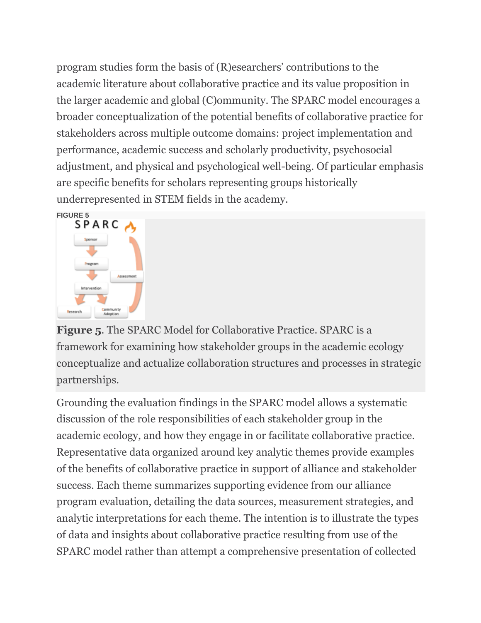program studies form the basis of (R)esearchers' contributions to the academic literature about collaborative practice and its value proposition in the larger academic and global (C)ommunity. The SPARC model encourages a broader conceptualization of the potential benefits of collaborative practice for stakeholders across multiple outcome domains: project implementation and performance, academic success and scholarly productivity, psychosocial adjustment, and physical and psychological well-being. Of particular emphasis are specific benefits for scholars representing groups historically underrepresented in STEM fields in the academy.



**Figure 5**. The SPARC Model for Collaborative Practice. SPARC is a framework for examining how stakeholder groups in the academic ecology conceptualize and actualize collaboration structures and processes in strategic partnerships.

Grounding the evaluation findings in the SPARC model allows a systematic discussion of the role responsibilities of each stakeholder group in the academic ecology, and how they engage in or facilitate collaborative practice. Representative data organized around key analytic themes provide examples of the benefits of collaborative practice in support of alliance and stakeholder success. Each theme summarizes supporting evidence from our alliance program evaluation, detailing the data sources, measurement strategies, and analytic interpretations for each theme. The intention is to illustrate the types of data and insights about collaborative practice resulting from use of the SPARC model rather than attempt a comprehensive presentation of collected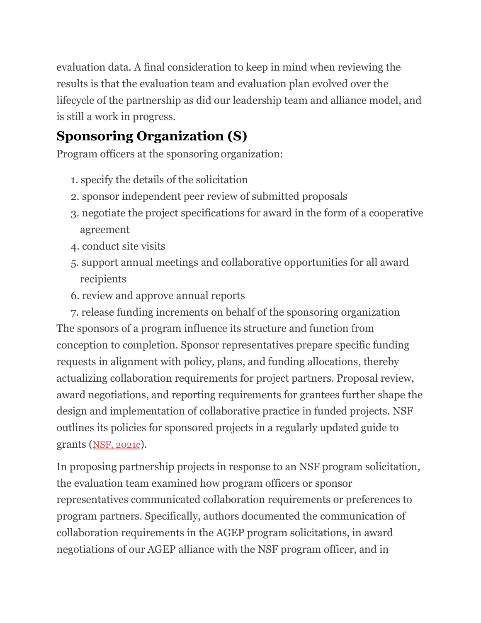evaluation data. A final consideration to keep in mind when reviewing the results is that the evaluation team and evaluation plan evolved over the lifecycle of the partnership as did our leadership team and alliance model, and is still a work in progress.

## **Sponsoring Organization (S)**

Program officers at the sponsoring organization:

- 1. specify the details of the solicitation
- 2. sponsor independent peer review of submitted proposals
- 3. negotiate the project specifications for award in the form of a cooperative agreement
- 4. conduct site visits
- 5. support annual meetings and collaborative opportunities for all award recipients
- 6. review and approve annual reports

7. release funding increments on behalf of the sponsoring organization The sponsors of a program influence its structure and function from conception to completion. Sponsor representatives prepare specific funding requests in alignment with policy, plans, and funding allocations, thereby actualizing collaboration requirements for project partners. Proposal review, award negotiations, and reporting requirements for grantees further shape the design and implementation of collaborative practice in funded projects. NSF outlines its policies for sponsored projects in a regularly updated guide to grants ([NSF, 2021c](https://www.frontiersin.org/articles/10.3389/fpsyg.2021.751660/full#ref42)).

In proposing partnership projects in response to an NSF program solicitation, the evaluation team examined how program officers or sponsor representatives communicated collaboration requirements or preferences to program partners. Specifically, authors documented the communication of collaboration requirements in the AGEP program solicitations, in award negotiations of our AGEP alliance with the NSF program officer, and in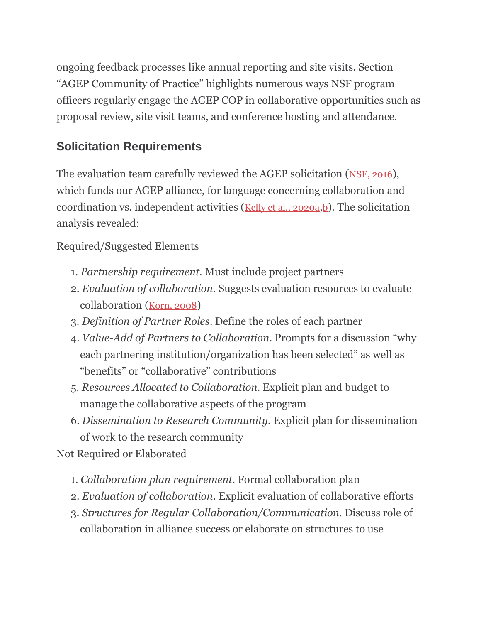ongoing feedback processes like annual reporting and site visits. Section "AGEP Community of Practice" highlights numerous ways NSF program officers regularly engage the AGEP COP in collaborative opportunities such as proposal review, site visit teams, and conference hosting and attendance.

## **Solicitation Requirements**

The evaluation team carefully reviewed the AGEP solicitation ([NSF, 2016](https://www.frontiersin.org/articles/10.3389/fpsyg.2021.751660/full#ref39)), which funds our AGEP alliance, for language concerning collaboration and coordination vs. independent activities ([Kelly et al., 2020a](https://www.frontiersin.org/articles/10.3389/fpsyg.2021.751660/full#ref25), [b](https://www.frontiersin.org/articles/10.3389/fpsyg.2021.751660/full#ref26)). The solicitation analysis revealed:

Required/Suggested Elements

- 1. *Partnership requirement.* Must include project partners
- 2. *Evaluation of collaboration.* Suggests evaluation resources to evaluate collaboration ([Korn, 2008](https://www.frontiersin.org/articles/10.3389/fpsyg.2021.751660/full#ref30))
- 3. *Definition of Partner Roles*. Define the roles of each partner
- 4. *Value-Add of Partners to Collaboration*. Prompts for a discussion "why each partnering institution/organization has been selected" as well as "benefits" or "collaborative" contributions
- 5. *Resources Allocated to Collaboration.* Explicit plan and budget to manage the collaborative aspects of the program
- 6. *Dissemination to Research Community.* Explicit plan for dissemination of work to the research community

Not Required or Elaborated

- 1. *Collaboration plan requirement.* Formal collaboration plan
- 2. *Evaluation of collaboration.* Explicit evaluation of collaborative efforts
- 3. *Structures for Regular Collaboration/Communication.* Discuss role of collaboration in alliance success or elaborate on structures to use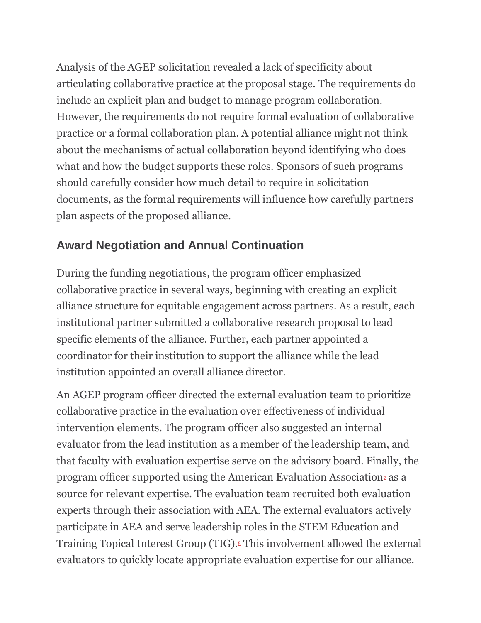Analysis of the AGEP solicitation revealed a lack of specificity about articulating collaborative practice at the proposal stage. The requirements do include an explicit plan and budget to manage program collaboration. However, the requirements do not require formal evaluation of collaborative practice or a formal collaboration plan. A potential alliance might not think about the mechanisms of actual collaboration beyond identifying who does what and how the budget supports these roles. Sponsors of such programs should carefully consider how much detail to require in solicitation documents, as the formal requirements will influence how carefully partners plan aspects of the proposed alliance.

## **Award Negotiation and Annual Continuation**

During the funding negotiations, the program officer emphasized collaborative practice in several ways, beginning with creating an explicit alliance structure for equitable engagement across partners. As a result, each institutional partner submitted a collaborative research proposal to lead specific elements of the alliance. Further, each partner appointed a coordinator for their institution to support the alliance while the lead institution appointed an overall alliance director.

An AGEP program officer directed the external evaluation team to prioritize collaborative practice in the evaluation over effectiveness of individual intervention elements. The program officer also suggested an internal evaluator from the lead institution as a member of the leadership team, and that faculty with evaluation expertise serve on the advisory board. Finally, the program officer supported usi[n](https://www.frontiersin.org/articles/10.3389/fpsyg.2021.751660/full#fn0007)g the American Evaluation Associationz as a source for relevant expertise. The evaluation team recruited both evaluation experts through their association with AEA. The external evaluators actively participate in AEA and serve leadership roles in the STEM Education and Training Topical Interest Group (TIG)[.](https://www.frontiersin.org/articles/10.3389/fpsyg.2021.751660/full#fn0008)<sup>8</sup> This involvement allowed the external evaluators to quickly locate appropriate evaluation expertise for our alliance.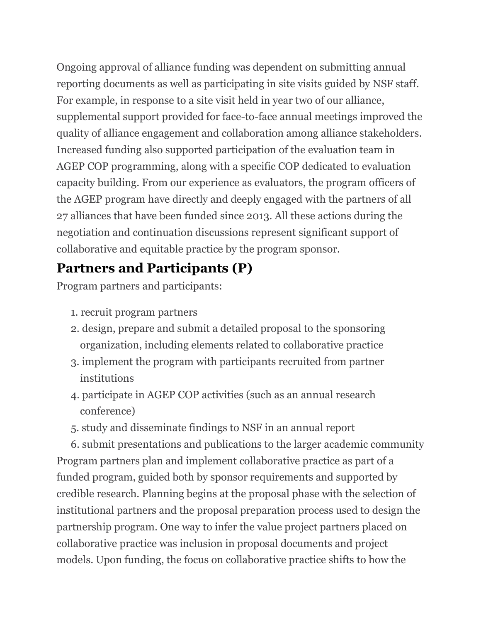Ongoing approval of alliance funding was dependent on submitting annual reporting documents as well as participating in site visits guided by NSF staff. For example, in response to a site visit held in year two of our alliance, supplemental support provided for face-to-face annual meetings improved the quality of alliance engagement and collaboration among alliance stakeholders. Increased funding also supported participation of the evaluation team in AGEP COP programming, along with a specific COP dedicated to evaluation capacity building. From our experience as evaluators, the program officers of the AGEP program have directly and deeply engaged with the partners of all 27 alliances that have been funded since 2013. All these actions during the negotiation and continuation discussions represent significant support of collaborative and equitable practice by the program sponsor.

## **Partners and Participants (P)**

Program partners and participants:

- 1. recruit program partners
- 2. design, prepare and submit a detailed proposal to the sponsoring organization, including elements related to collaborative practice
- 3. implement the program with participants recruited from partner institutions
- 4. participate in AGEP COP activities (such as an annual research conference)
- 5. study and disseminate findings to NSF in an annual report

6. submit presentations and publications to the larger academic community Program partners plan and implement collaborative practice as part of a funded program, guided both by sponsor requirements and supported by credible research. Planning begins at the proposal phase with the selection of institutional partners and the proposal preparation process used to design the partnership program. One way to infer the value project partners placed on collaborative practice was inclusion in proposal documents and project models. Upon funding, the focus on collaborative practice shifts to how the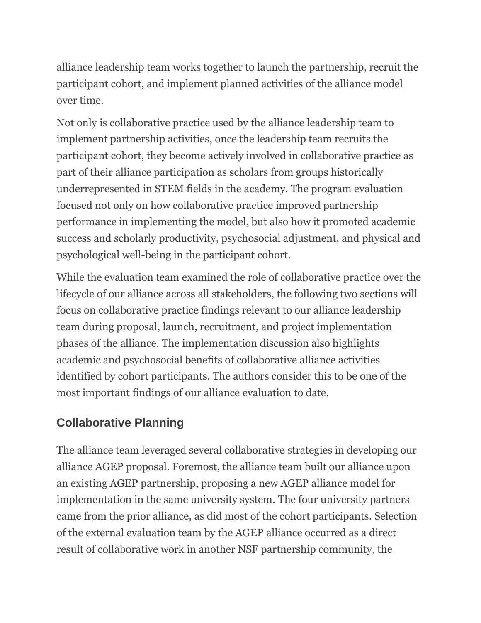alliance leadership team works together to launch the partnership, recruit the participant cohort, and implement planned activities of the alliance model over time.

Not only is collaborative practice used by the alliance leadership team to implement partnership activities, once the leadership team recruits the participant cohort, they become actively involved in collaborative practice as part of their alliance participation as scholars from groups historically underrepresented in STEM fields in the academy. The program evaluation focused not only on how collaborative practice improved partnership performance in implementing the model, but also how it promoted academic success and scholarly productivity, psychosocial adjustment, and physical and psychological well-being in the participant cohort.

While the evaluation team examined the role of collaborative practice over the lifecycle of our alliance across all stakeholders, the following two sections will focus on collaborative practice findings relevant to our alliance leadership team during proposal, launch, recruitment, and project implementation phases of the alliance. The implementation discussion also highlights academic and psychosocial benefits of collaborative alliance activities identified by cohort participants. The authors consider this to be one of the most important findings of our alliance evaluation to date.

## **Collaborative Planning**

The alliance team leveraged several collaborative strategies in developing our alliance AGEP proposal. Foremost, the alliance team built our alliance upon an existing AGEP partnership, proposing a new AGEP alliance model for implementation in the same university system. The four university partners came from the prior alliance, as did most of the cohort participants. Selection of the external evaluation team by the AGEP alliance occurred as a direct result of collaborative work in another NSF partnership community, the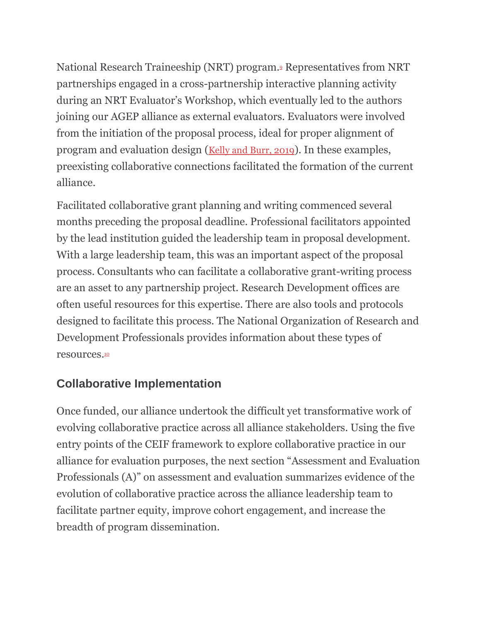National Research Traineeship (NRT) program[.](https://www.frontiersin.org/articles/10.3389/fpsyg.2021.751660/full#fn0009)<sup>9</sup> Representatives from NRT partnerships engaged in a cross-partnership interactive planning activity during an NRT Evaluator's Workshop, which eventually led to the authors joining our AGEP alliance as external evaluators. Evaluators were involved from the initiation of the proposal process, ideal for proper alignment of program and evaluation design ([Kelly and Burr, 2019](https://www.frontiersin.org/articles/10.3389/fpsyg.2021.751660/full#ref24)). In these examples, preexisting collaborative connections facilitated the formation of the current alliance.

Facilitated collaborative grant planning and writing commenced several months preceding the proposal deadline. Professional facilitators appointed by the lead institution guided the leadership team in proposal development. With a large leadership team, this was an important aspect of the proposal process. Consultants who can facilitate a collaborative grant-writing process are an asset to any partnership project. Research Development offices are often useful resources for this expertise. There are also tools and protocols designed to facilitate this process. The National Organization of Research and Development Professionals provides information about these types of resources.[10](https://www.frontiersin.org/articles/10.3389/fpsyg.2021.751660/full#fn0010)

## **Collaborative Implementation**

Once funded, our alliance undertook the difficult yet transformative work of evolving collaborative practice across all alliance stakeholders. Using the five entry points of the CEIF framework to explore collaborative practice in our alliance for evaluation purposes, the next section "Assessment and Evaluation Professionals (A)" on assessment and evaluation summarizes evidence of the evolution of collaborative practice across the alliance leadership team to facilitate partner equity, improve cohort engagement, and increase the breadth of program dissemination.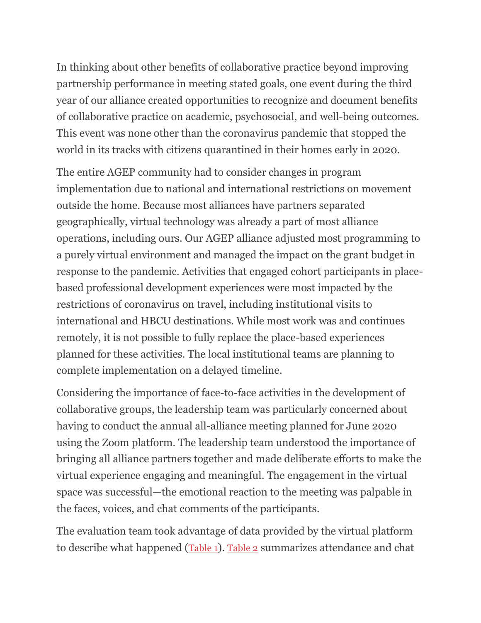In thinking about other benefits of collaborative practice beyond improving partnership performance in meeting stated goals, one event during the third year of our alliance created opportunities to recognize and document benefits of collaborative practice on academic, psychosocial, and well-being outcomes. This event was none other than the coronavirus pandemic that stopped the world in its tracks with citizens quarantined in their homes early in 2020.

The entire AGEP community had to consider changes in program implementation due to national and international restrictions on movement outside the home. Because most alliances have partners separated geographically, virtual technology was already a part of most alliance operations, including ours. Our AGEP alliance adjusted most programming to a purely virtual environment and managed the impact on the grant budget in response to the pandemic. Activities that engaged cohort participants in placebased professional development experiences were most impacted by the restrictions of coronavirus on travel, including institutional visits to international and HBCU destinations. While most work was and continues remotely, it is not possible to fully replace the place-based experiences planned for these activities. The local institutional teams are planning to complete implementation on a delayed timeline.

Considering the importance of face-to-face activities in the development of collaborative groups, the leadership team was particularly concerned about having to conduct the annual all-alliance meeting planned for June 2020 using the Zoom platform. The leadership team understood the importance of bringing all alliance partners together and made deliberate efforts to make the virtual experience engaging and meaningful. The engagement in the virtual space was successful—the emotional reaction to the meeting was palpable in the faces, voices, and chat comments of the participants.

The evaluation team took advantage of data provided by the virtual platform to describe what happened ([Table 1](https://www.frontiersin.org/articles/10.3389/fpsyg.2021.751660/full#tab1)). [Table 2](https://www.frontiersin.org/articles/10.3389/fpsyg.2021.751660/full#tab2) summarizes attendance and chat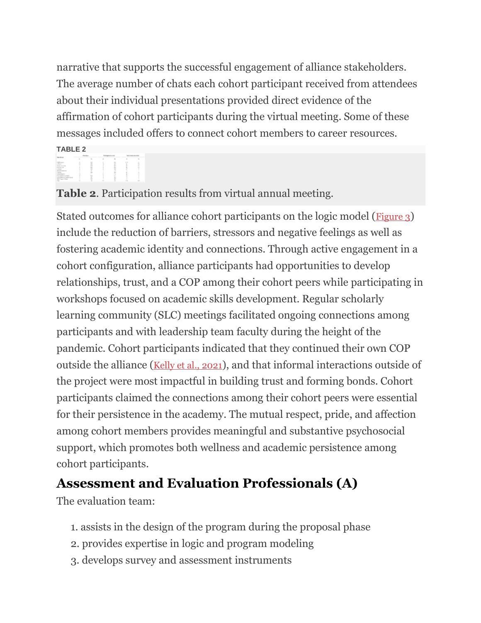narrative that supports the successful engagement of alliance stakeholders. The average number of chats each cohort participant received from attendees about their individual presentations provided direct evidence of the affirmation of cohort participants during the virtual meeting. Some of these messages included offers to connect cohort members to career resources.

**TABLE 2**

**Table 2**. Participation results from virtual annual meeting.

Stated outcomes for alliance cohort participants on the logic model ([Figure 3](https://www.frontiersin.org/articles/10.3389/fpsyg.2021.751660/full#fig3)) include the reduction of barriers, stressors and negative feelings as well as fostering academic identity and connections. Through active engagement in a cohort configuration, alliance participants had opportunities to develop relationships, trust, and a COP among their cohort peers while participating in workshops focused on academic skills development. Regular scholarly learning community (SLC) meetings facilitated ongoing connections among participants and with leadership team faculty during the height of the pandemic. Cohort participants indicated that they continued their own COP outside the alliance ([Kelly et al., 2021](https://www.frontiersin.org/articles/10.3389/fpsyg.2021.751660/full#ref27)), and that informal interactions outside of the project were most impactful in building trust and forming bonds. Cohort participants claimed the connections among their cohort peers were essential for their persistence in the academy. The mutual respect, pride, and affection among cohort members provides meaningful and substantive psychosocial support, which promotes both wellness and academic persistence among cohort participants.

## **Assessment and Evaluation Professionals (A)**

The evaluation team:

- 1. assists in the design of the program during the proposal phase
- 2. provides expertise in logic and program modeling
- 3. develops survey and assessment instruments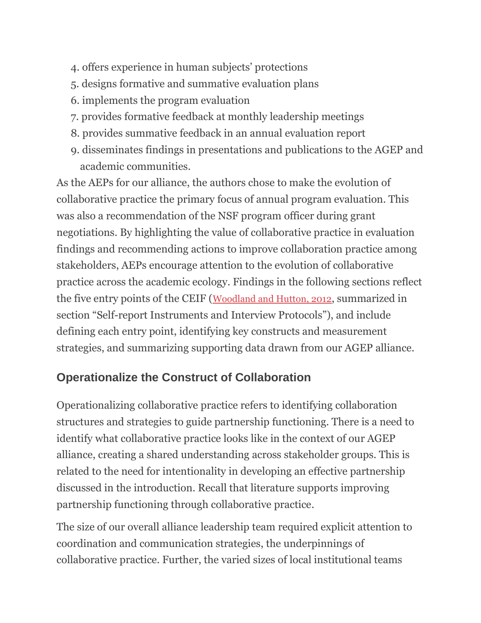- 4. offers experience in human subjects' protections
- 5. designs formative and summative evaluation plans
- 6. implements the program evaluation
- 7. provides formative feedback at monthly leadership meetings
- 8. provides summative feedback in an annual evaluation report
- 9. disseminates findings in presentations and publications to the AGEP and academic communities.

As the AEPs for our alliance, the authors chose to make the evolution of collaborative practice the primary focus of annual program evaluation. This was also a recommendation of the NSF program officer during grant negotiations. By highlighting the value of collaborative practice in evaluation findings and recommending actions to improve collaboration practice among stakeholders, AEPs encourage attention to the evolution of collaborative practice across the academic ecology. Findings in the following sections reflect the five entry points of the CEIF ([Woodland and Hutton, 2012](https://www.frontiersin.org/articles/10.3389/fpsyg.2021.751660/full#ref53), summarized in section "Self-report Instruments and Interview Protocols"), and include defining each entry point, identifying key constructs and measurement strategies, and summarizing supporting data drawn from our AGEP alliance.

## **Operationalize the Construct of Collaboration**

Operationalizing collaborative practice refers to identifying collaboration structures and strategies to guide partnership functioning. There is a need to identify what collaborative practice looks like in the context of our AGEP alliance, creating a shared understanding across stakeholder groups. This is related to the need for intentionality in developing an effective partnership discussed in the introduction. Recall that literature supports improving partnership functioning through collaborative practice.

The size of our overall alliance leadership team required explicit attention to coordination and communication strategies, the underpinnings of collaborative practice. Further, the varied sizes of local institutional teams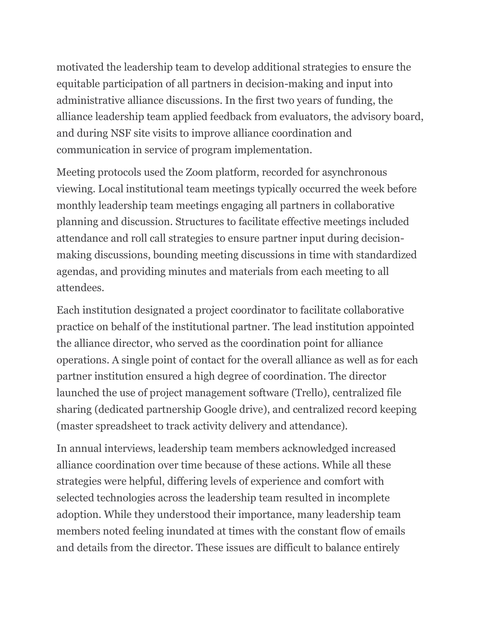motivated the leadership team to develop additional strategies to ensure the equitable participation of all partners in decision-making and input into administrative alliance discussions. In the first two years of funding, the alliance leadership team applied feedback from evaluators, the advisory board, and during NSF site visits to improve alliance coordination and communication in service of program implementation.

Meeting protocols used the Zoom platform, recorded for asynchronous viewing. Local institutional team meetings typically occurred the week before monthly leadership team meetings engaging all partners in collaborative planning and discussion. Structures to facilitate effective meetings included attendance and roll call strategies to ensure partner input during decisionmaking discussions, bounding meeting discussions in time with standardized agendas, and providing minutes and materials from each meeting to all attendees.

Each institution designated a project coordinator to facilitate collaborative practice on behalf of the institutional partner. The lead institution appointed the alliance director, who served as the coordination point for alliance operations. A single point of contact for the overall alliance as well as for each partner institution ensured a high degree of coordination. The director launched the use of project management software (Trello), centralized file sharing (dedicated partnership Google drive), and centralized record keeping (master spreadsheet to track activity delivery and attendance).

In annual interviews, leadership team members acknowledged increased alliance coordination over time because of these actions. While all these strategies were helpful, differing levels of experience and comfort with selected technologies across the leadership team resulted in incomplete adoption. While they understood their importance, many leadership team members noted feeling inundated at times with the constant flow of emails and details from the director. These issues are difficult to balance entirely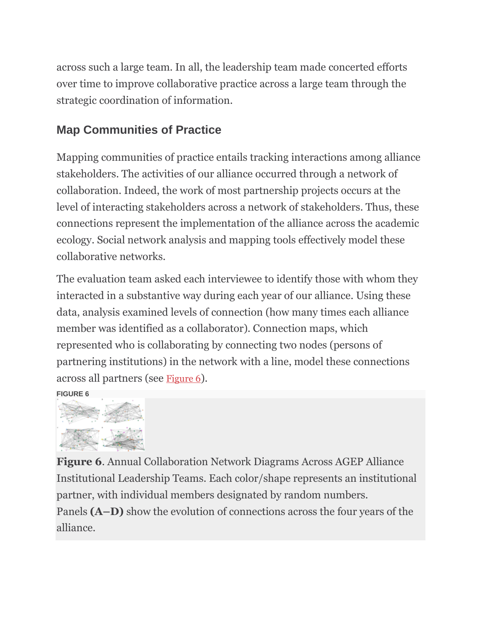across such a large team. In all, the leadership team made concerted efforts over time to improve collaborative practice across a large team through the strategic coordination of information.

## **Map Communities of Practice**

Mapping communities of practice entails tracking interactions among alliance stakeholders. The activities of our alliance occurred through a network of collaboration. Indeed, the work of most partnership projects occurs at the level of interacting stakeholders across a network of stakeholders. Thus, these connections represent the implementation of the alliance across the academic ecology. Social network analysis and mapping tools effectively model these collaborative networks.

The evaluation team asked each interviewee to identify those with whom they interacted in a substantive way during each year of our alliance. Using these data, analysis examined levels of connection (how many times each alliance member was identified as a collaborator). Connection maps, which represented who is collaborating by connecting two nodes (persons of partnering institutions) in the network with a line, model these connections across all partners (see [Figure 6](https://www.frontiersin.org/articles/10.3389/fpsyg.2021.751660/full#fig6)).

**FIGURE 6**



**Figure 6**. Annual Collaboration Network Diagrams Across AGEP Alliance Institutional Leadership Teams. Each color/shape represents an institutional partner, with individual members designated by random numbers. Panels **(A–D)** show the evolution of connections across the four years of the alliance.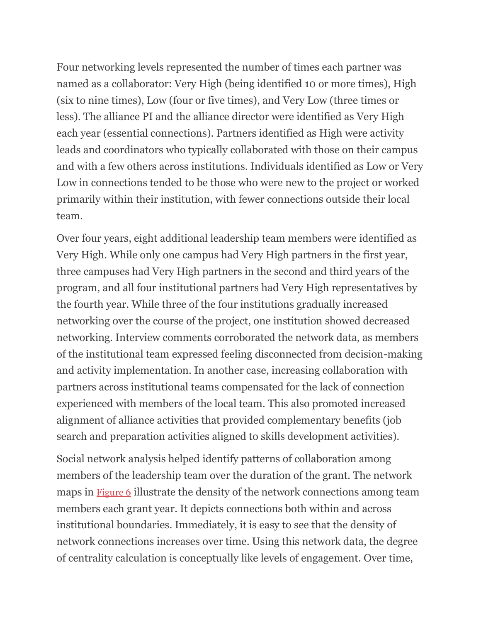Four networking levels represented the number of times each partner was named as a collaborator: Very High (being identified 10 or more times), High (six to nine times), Low (four or five times), and Very Low (three times or less). The alliance PI and the alliance director were identified as Very High each year (essential connections). Partners identified as High were activity leads and coordinators who typically collaborated with those on their campus and with a few others across institutions. Individuals identified as Low or Very Low in connections tended to be those who were new to the project or worked primarily within their institution, with fewer connections outside their local team.

Over four years, eight additional leadership team members were identified as Very High. While only one campus had Very High partners in the first year, three campuses had Very High partners in the second and third years of the program, and all four institutional partners had Very High representatives by the fourth year. While three of the four institutions gradually increased networking over the course of the project, one institution showed decreased networking. Interview comments corroborated the network data, as members of the institutional team expressed feeling disconnected from decision-making and activity implementation. In another case, increasing collaboration with partners across institutional teams compensated for the lack of connection experienced with members of the local team. This also promoted increased alignment of alliance activities that provided complementary benefits (job search and preparation activities aligned to skills development activities).

Social network analysis helped identify patterns of collaboration among members of the leadership team over the duration of the grant. The network maps in [Figure 6](https://www.frontiersin.org/articles/10.3389/fpsyg.2021.751660/full#fig6) illustrate the density of the network connections among team members each grant year. It depicts connections both within and across institutional boundaries. Immediately, it is easy to see that the density of network connections increases over time. Using this network data, the degree of centrality calculation is conceptually like levels of engagement. Over time,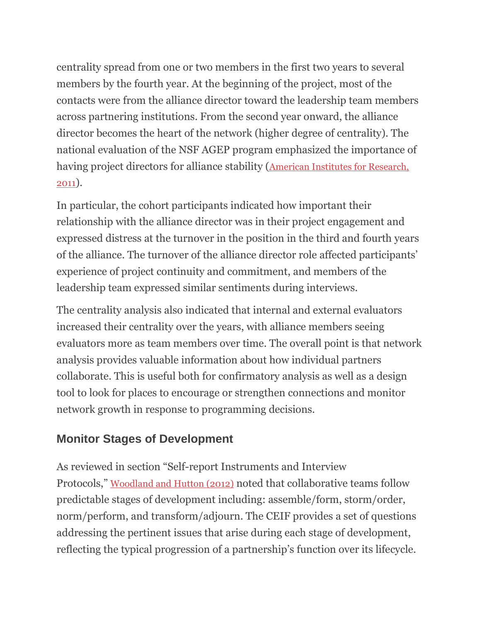centrality spread from one or two members in the first two years to several members by the fourth year. At the beginning of the project, most of the contacts were from the alliance director toward the leadership team members across partnering institutions. From the second year onward, the alliance director becomes the heart of the network (higher degree of centrality). The national evaluation of the NSF AGEP program emphasized the importance of having project directors for alliance stability ([American Institutes for Research,](https://www.frontiersin.org/articles/10.3389/fpsyg.2021.751660/full#ref1)  [2011](https://www.frontiersin.org/articles/10.3389/fpsyg.2021.751660/full#ref1)).

In particular, the cohort participants indicated how important their relationship with the alliance director was in their project engagement and expressed distress at the turnover in the position in the third and fourth years of the alliance. The turnover of the alliance director role affected participants' experience of project continuity and commitment, and members of the leadership team expressed similar sentiments during interviews.

The centrality analysis also indicated that internal and external evaluators increased their centrality over the years, with alliance members seeing evaluators more as team members over time. The overall point is that network analysis provides valuable information about how individual partners collaborate. This is useful both for confirmatory analysis as well as a design tool to look for places to encourage or strengthen connections and monitor network growth in response to programming decisions.

## **Monitor Stages of Development**

As reviewed in section "Self-report Instruments and Interview Protocols," [Woodland and Hutton \(2012\)](https://www.frontiersin.org/articles/10.3389/fpsyg.2021.751660/full#ref53) noted that collaborative teams follow predictable stages of development including: assemble/form, storm/order, norm/perform, and transform/adjourn. The CEIF provides a set of questions addressing the pertinent issues that arise during each stage of development, reflecting the typical progression of a partnership's function over its lifecycle.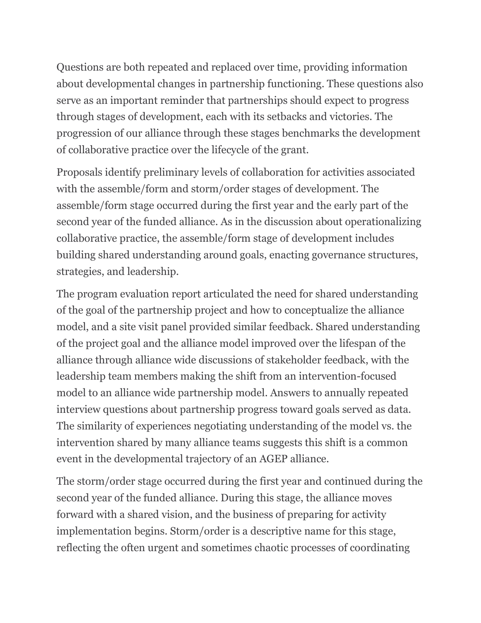Questions are both repeated and replaced over time, providing information about developmental changes in partnership functioning. These questions also serve as an important reminder that partnerships should expect to progress through stages of development, each with its setbacks and victories. The progression of our alliance through these stages benchmarks the development of collaborative practice over the lifecycle of the grant.

Proposals identify preliminary levels of collaboration for activities associated with the assemble/form and storm/order stages of development. The assemble/form stage occurred during the first year and the early part of the second year of the funded alliance. As in the discussion about operationalizing collaborative practice, the assemble/form stage of development includes building shared understanding around goals, enacting governance structures, strategies, and leadership.

The program evaluation report articulated the need for shared understanding of the goal of the partnership project and how to conceptualize the alliance model, and a site visit panel provided similar feedback. Shared understanding of the project goal and the alliance model improved over the lifespan of the alliance through alliance wide discussions of stakeholder feedback, with the leadership team members making the shift from an intervention-focused model to an alliance wide partnership model. Answers to annually repeated interview questions about partnership progress toward goals served as data. The similarity of experiences negotiating understanding of the model vs. the intervention shared by many alliance teams suggests this shift is a common event in the developmental trajectory of an AGEP alliance.

The storm/order stage occurred during the first year and continued during the second year of the funded alliance. During this stage, the alliance moves forward with a shared vision, and the business of preparing for activity implementation begins. Storm/order is a descriptive name for this stage, reflecting the often urgent and sometimes chaotic processes of coordinating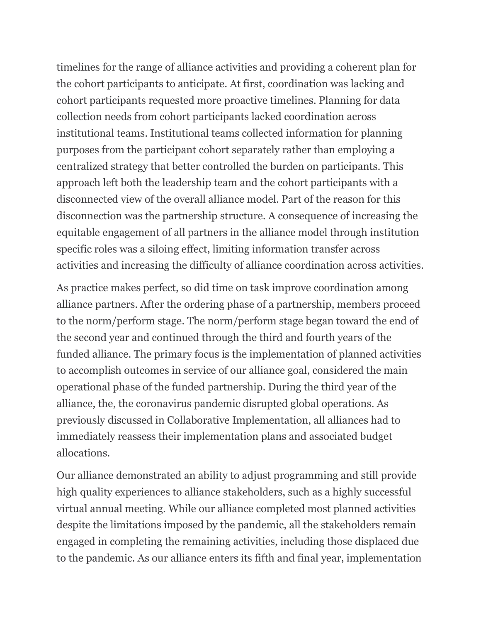timelines for the range of alliance activities and providing a coherent plan for the cohort participants to anticipate. At first, coordination was lacking and cohort participants requested more proactive timelines. Planning for data collection needs from cohort participants lacked coordination across institutional teams. Institutional teams collected information for planning purposes from the participant cohort separately rather than employing a centralized strategy that better controlled the burden on participants. This approach left both the leadership team and the cohort participants with a disconnected view of the overall alliance model. Part of the reason for this disconnection was the partnership structure. A consequence of increasing the equitable engagement of all partners in the alliance model through institution specific roles was a siloing effect, limiting information transfer across activities and increasing the difficulty of alliance coordination across activities.

As practice makes perfect, so did time on task improve coordination among alliance partners. After the ordering phase of a partnership, members proceed to the norm/perform stage. The norm/perform stage began toward the end of the second year and continued through the third and fourth years of the funded alliance. The primary focus is the implementation of planned activities to accomplish outcomes in service of our alliance goal, considered the main operational phase of the funded partnership. During the third year of the alliance, the, the coronavirus pandemic disrupted global operations. As previously discussed in Collaborative Implementation, all alliances had to immediately reassess their implementation plans and associated budget allocations.

Our alliance demonstrated an ability to adjust programming and still provide high quality experiences to alliance stakeholders, such as a highly successful virtual annual meeting. While our alliance completed most planned activities despite the limitations imposed by the pandemic, all the stakeholders remain engaged in completing the remaining activities, including those displaced due to the pandemic. As our alliance enters its fifth and final year, implementation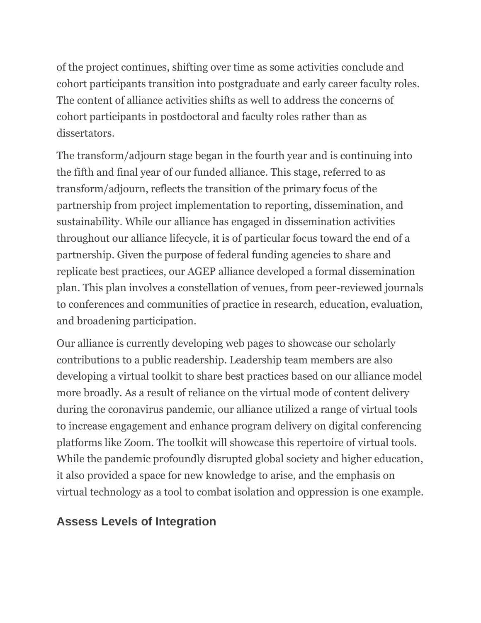of the project continues, shifting over time as some activities conclude and cohort participants transition into postgraduate and early career faculty roles. The content of alliance activities shifts as well to address the concerns of cohort participants in postdoctoral and faculty roles rather than as dissertators.

The transform/adjourn stage began in the fourth year and is continuing into the fifth and final year of our funded alliance. This stage, referred to as transform/adjourn, reflects the transition of the primary focus of the partnership from project implementation to reporting, dissemination, and sustainability. While our alliance has engaged in dissemination activities throughout our alliance lifecycle, it is of particular focus toward the end of a partnership. Given the purpose of federal funding agencies to share and replicate best practices, our AGEP alliance developed a formal dissemination plan. This plan involves a constellation of venues, from peer-reviewed journals to conferences and communities of practice in research, education, evaluation, and broadening participation.

Our alliance is currently developing web pages to showcase our scholarly contributions to a public readership. Leadership team members are also developing a virtual toolkit to share best practices based on our alliance model more broadly. As a result of reliance on the virtual mode of content delivery during the coronavirus pandemic, our alliance utilized a range of virtual tools to increase engagement and enhance program delivery on digital conferencing platforms like Zoom. The toolkit will showcase this repertoire of virtual tools. While the pandemic profoundly disrupted global society and higher education, it also provided a space for new knowledge to arise, and the emphasis on virtual technology as a tool to combat isolation and oppression is one example.

## **Assess Levels of Integration**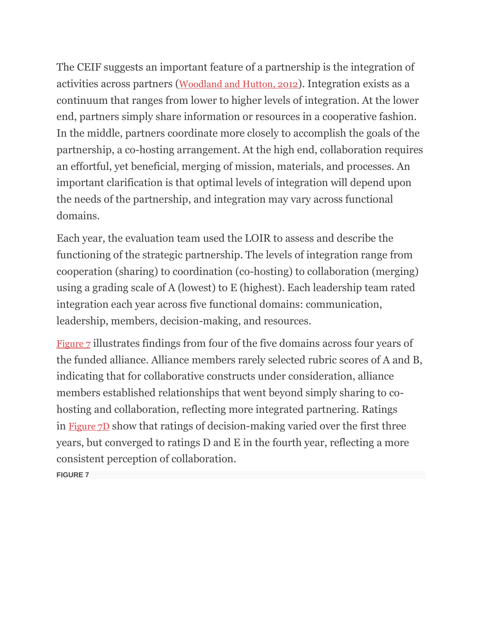The CEIF suggests an important feature of a partnership is the integration of activities across partners ([Woodland and Hutton, 2012](https://www.frontiersin.org/articles/10.3389/fpsyg.2021.751660/full#ref53)). Integration exists as a continuum that ranges from lower to higher levels of integration. At the lower end, partners simply share information or resources in a cooperative fashion. In the middle, partners coordinate more closely to accomplish the goals of the partnership, a co-hosting arrangement. At the high end, collaboration requires an effortful, yet beneficial, merging of mission, materials, and processes. An important clarification is that optimal levels of integration will depend upon the needs of the partnership, and integration may vary across functional domains.

Each year, the evaluation team used the LOIR to assess and describe the functioning of the strategic partnership. The levels of integration range from cooperation (sharing) to coordination (co-hosting) to collaboration (merging) using a grading scale of A (lowest) to E (highest). Each leadership team rated integration each year across five functional domains: communication, leadership, members, decision-making, and resources.

[Figure 7](https://www.frontiersin.org/articles/10.3389/fpsyg.2021.751660/full#fig7) illustrates findings from four of the five domains across four years of the funded alliance. Alliance members rarely selected rubric scores of A and B, indicating that for collaborative constructs under consideration, alliance members established relationships that went beyond simply sharing to cohosting and collaboration, reflecting more integrated partnering. Ratings in [Figure 7D](https://www.frontiersin.org/articles/10.3389/fpsyg.2021.751660/full#fig7) show that ratings of decision-making varied over the first three years, but converged to ratings D and E in the fourth year, reflecting a more consistent perception of collaboration.

**FIGURE 7**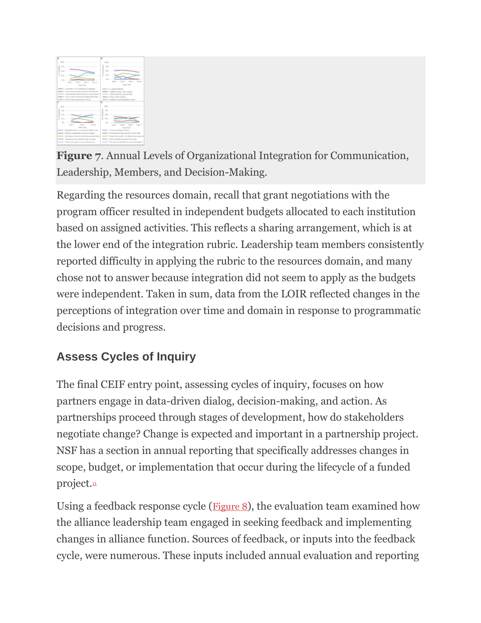

**Figure 7**. Annual Levels of Organizational Integration for Communication, Leadership, Members, and Decision-Making.

Regarding the resources domain, recall that grant negotiations with the program officer resulted in independent budgets allocated to each institution based on assigned activities. This reflects a sharing arrangement, which is at the lower end of the integration rubric. Leadership team members consistently reported difficulty in applying the rubric to the resources domain, and many chose not to answer because integration did not seem to apply as the budgets were independent. Taken in sum, data from the LOIR reflected changes in the perceptions of integration over time and domain in response to programmatic decisions and progress.

## **Assess Cycles of Inquiry**

The final CEIF entry point, assessing cycles of inquiry, focuses on how partners engage in data-driven dialog, decision-making, and action. As partnerships proceed through stages of development, how do stakeholders negotiate change? Change is expected and important in a partnership project. NSF has a section in annual reporting that specifically addresses changes in scope, budget, or implementation that occur during the lifecycle of a funded project.<sup>[11](https://www.frontiersin.org/articles/10.3389/fpsyg.2021.751660/full#fn0011)</sup>

Using a feedback response cycle ([Figure 8](https://www.frontiersin.org/articles/10.3389/fpsyg.2021.751660/full#fig8)), the evaluation team examined how the alliance leadership team engaged in seeking feedback and implementing changes in alliance function. Sources of feedback, or inputs into the feedback cycle, were numerous. These inputs included annual evaluation and reporting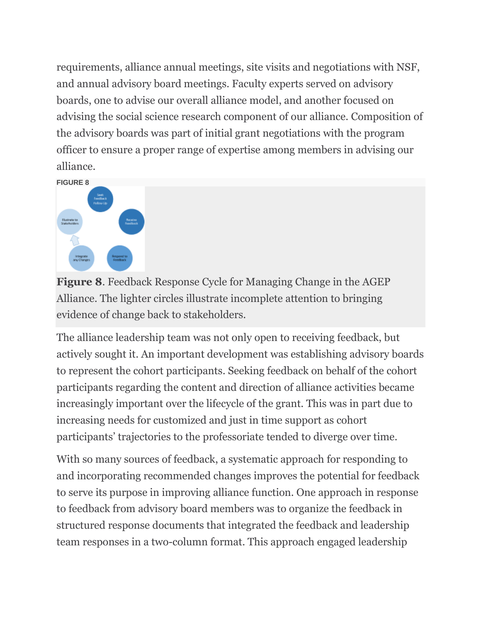requirements, alliance annual meetings, site visits and negotiations with NSF, and annual advisory board meetings. Faculty experts served on advisory boards, one to advise our overall alliance model, and another focused on advising the social science research component of our alliance. Composition of the advisory boards was part of initial grant negotiations with the program officer to ensure a proper range of expertise among members in advising our alliance.



**Figure 8**. Feedback Response Cycle for Managing Change in the AGEP Alliance. The lighter circles illustrate incomplete attention to bringing evidence of change back to stakeholders.

The alliance leadership team was not only open to receiving feedback, but actively sought it. An important development was establishing advisory boards to represent the cohort participants. Seeking feedback on behalf of the cohort participants regarding the content and direction of alliance activities became increasingly important over the lifecycle of the grant. This was in part due to increasing needs for customized and just in time support as cohort participants' trajectories to the professoriate tended to diverge over time.

With so many sources of feedback, a systematic approach for responding to and incorporating recommended changes improves the potential for feedback to serve its purpose in improving alliance function. One approach in response to feedback from advisory board members was to organize the feedback in structured response documents that integrated the feedback and leadership team responses in a two-column format. This approach engaged leadership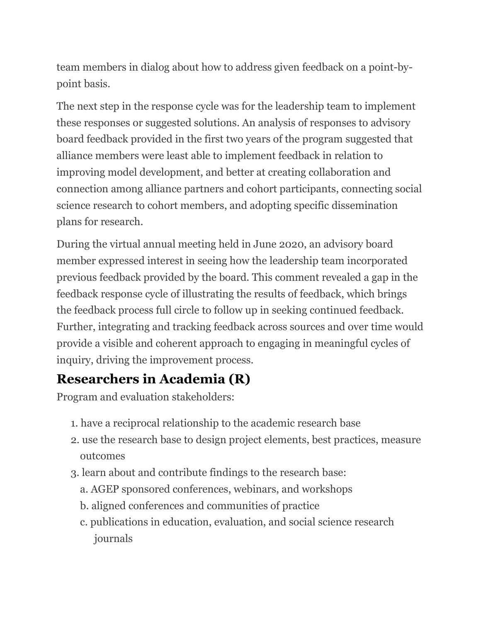team members in dialog about how to address given feedback on a point-bypoint basis.

The next step in the response cycle was for the leadership team to implement these responses or suggested solutions. An analysis of responses to advisory board feedback provided in the first two years of the program suggested that alliance members were least able to implement feedback in relation to improving model development, and better at creating collaboration and connection among alliance partners and cohort participants, connecting social science research to cohort members, and adopting specific dissemination plans for research.

During the virtual annual meeting held in June 2020, an advisory board member expressed interest in seeing how the leadership team incorporated previous feedback provided by the board. This comment revealed a gap in the feedback response cycle of illustrating the results of feedback, which brings the feedback process full circle to follow up in seeking continued feedback. Further, integrating and tracking feedback across sources and over time would provide a visible and coherent approach to engaging in meaningful cycles of inquiry, driving the improvement process.

## **Researchers in Academia (R)**

Program and evaluation stakeholders:

- 1. have a reciprocal relationship to the academic research base
- 2. use the research base to design project elements, best practices, measure outcomes
- 3. learn about and contribute findings to the research base:
	- a. AGEP sponsored conferences, webinars, and workshops
	- b. aligned conferences and communities of practice
	- c. publications in education, evaluation, and social science research journals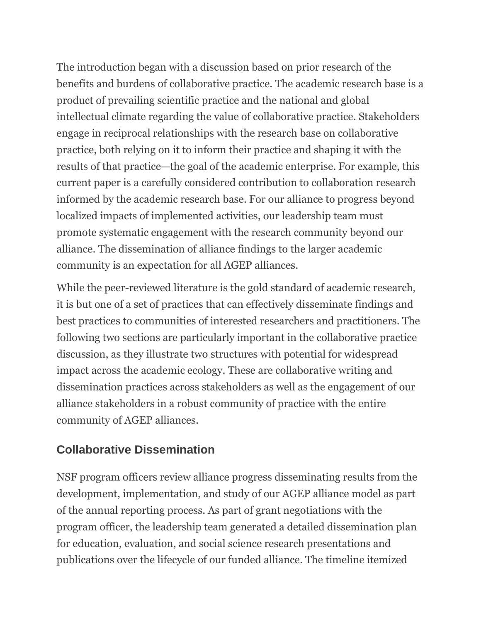The introduction began with a discussion based on prior research of the benefits and burdens of collaborative practice. The academic research base is a product of prevailing scientific practice and the national and global intellectual climate regarding the value of collaborative practice. Stakeholders engage in reciprocal relationships with the research base on collaborative practice, both relying on it to inform their practice and shaping it with the results of that practice—the goal of the academic enterprise. For example, this current paper is a carefully considered contribution to collaboration research informed by the academic research base. For our alliance to progress beyond localized impacts of implemented activities, our leadership team must promote systematic engagement with the research community beyond our alliance. The dissemination of alliance findings to the larger academic community is an expectation for all AGEP alliances.

While the peer-reviewed literature is the gold standard of academic research, it is but one of a set of practices that can effectively disseminate findings and best practices to communities of interested researchers and practitioners. The following two sections are particularly important in the collaborative practice discussion, as they illustrate two structures with potential for widespread impact across the academic ecology. These are collaborative writing and dissemination practices across stakeholders as well as the engagement of our alliance stakeholders in a robust community of practice with the entire community of AGEP alliances.

## **Collaborative Dissemination**

NSF program officers review alliance progress disseminating results from the development, implementation, and study of our AGEP alliance model as part of the annual reporting process. As part of grant negotiations with the program officer, the leadership team generated a detailed dissemination plan for education, evaluation, and social science research presentations and publications over the lifecycle of our funded alliance. The timeline itemized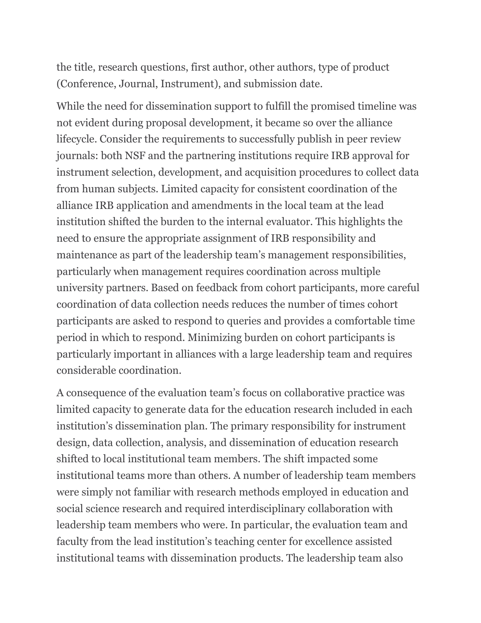the title, research questions, first author, other authors, type of product (Conference, Journal, Instrument), and submission date.

While the need for dissemination support to fulfill the promised timeline was not evident during proposal development, it became so over the alliance lifecycle. Consider the requirements to successfully publish in peer review journals: both NSF and the partnering institutions require IRB approval for instrument selection, development, and acquisition procedures to collect data from human subjects. Limited capacity for consistent coordination of the alliance IRB application and amendments in the local team at the lead institution shifted the burden to the internal evaluator. This highlights the need to ensure the appropriate assignment of IRB responsibility and maintenance as part of the leadership team's management responsibilities, particularly when management requires coordination across multiple university partners. Based on feedback from cohort participants, more careful coordination of data collection needs reduces the number of times cohort participants are asked to respond to queries and provides a comfortable time period in which to respond. Minimizing burden on cohort participants is particularly important in alliances with a large leadership team and requires considerable coordination.

A consequence of the evaluation team's focus on collaborative practice was limited capacity to generate data for the education research included in each institution's dissemination plan. The primary responsibility for instrument design, data collection, analysis, and dissemination of education research shifted to local institutional team members. The shift impacted some institutional teams more than others. A number of leadership team members were simply not familiar with research methods employed in education and social science research and required interdisciplinary collaboration with leadership team members who were. In particular, the evaluation team and faculty from the lead institution's teaching center for excellence assisted institutional teams with dissemination products. The leadership team also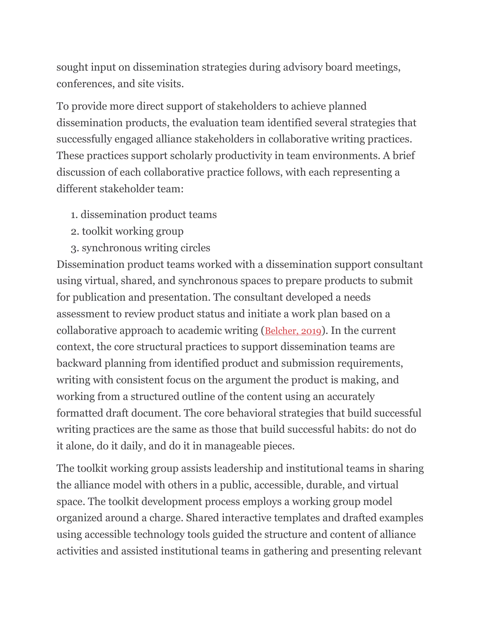sought input on dissemination strategies during advisory board meetings, conferences, and site visits.

To provide more direct support of stakeholders to achieve planned dissemination products, the evaluation team identified several strategies that successfully engaged alliance stakeholders in collaborative writing practices. These practices support scholarly productivity in team environments. A brief discussion of each collaborative practice follows, with each representing a different stakeholder team:

- 1. dissemination product teams
- 2. toolkit working group
- 3. synchronous writing circles

Dissemination product teams worked with a dissemination support consultant using virtual, shared, and synchronous spaces to prepare products to submit for publication and presentation. The consultant developed a needs assessment to review product status and initiate a work plan based on a collaborative approach to academic writing ([Belcher, 2019](https://www.frontiersin.org/articles/10.3389/fpsyg.2021.751660/full#ref2)). In the current context, the core structural practices to support dissemination teams are backward planning from identified product and submission requirements, writing with consistent focus on the argument the product is making, and working from a structured outline of the content using an accurately formatted draft document. The core behavioral strategies that build successful writing practices are the same as those that build successful habits: do not do it alone, do it daily, and do it in manageable pieces.

The toolkit working group assists leadership and institutional teams in sharing the alliance model with others in a public, accessible, durable, and virtual space. The toolkit development process employs a working group model organized around a charge. Shared interactive templates and drafted examples using accessible technology tools guided the structure and content of alliance activities and assisted institutional teams in gathering and presenting relevant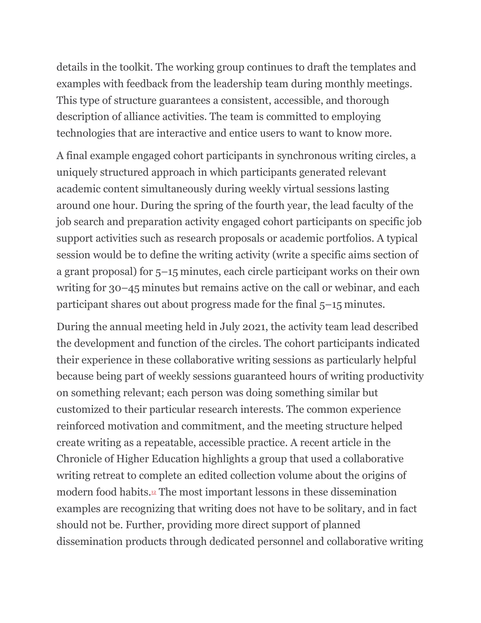details in the toolkit. The working group continues to draft the templates and examples with feedback from the leadership team during monthly meetings. This type of structure guarantees a consistent, accessible, and thorough description of alliance activities. The team is committed to employing technologies that are interactive and entice users to want to know more.

A final example engaged cohort participants in synchronous writing circles, a uniquely structured approach in which participants generated relevant academic content simultaneously during weekly virtual sessions lasting around one hour. During the spring of the fourth year, the lead faculty of the job search and preparation activity engaged cohort participants on specific job support activities such as research proposals or academic portfolios. A typical session would be to define the writing activity (write a specific aims section of a grant proposal) for 5–15 minutes, each circle participant works on their own writing for 30–45 minutes but remains active on the call or webinar, and each participant shares out about progress made for the final 5–15 minutes.

During the annual meeting held in July 2021, the activity team lead described the development and function of the circles. The cohort participants indicated their experience in these collaborative writing sessions as particularly helpful because being part of weekly sessions guaranteed hours of writing productivity on something relevant; each person was doing something similar but customized to their particular research interests. The common experience reinforced motivation and commitment, and the meeting structure helped create writing as a repeatable, accessible practice. A recent article in the Chronicle of Higher Education highlights a group that used a collaborative writing retreat to complete an edited collection volume about the origins of modern food habits.[12](https://www.frontiersin.org/articles/10.3389/fpsyg.2021.751660/full#fn0012) The most important lessons in these dissemination examples are recognizing that writing does not have to be solitary, and in fact should not be. Further, providing more direct support of planned dissemination products through dedicated personnel and collaborative writing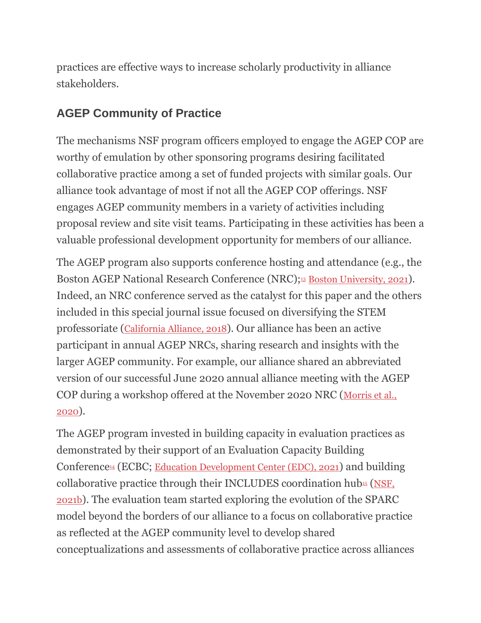practices are effective ways to increase scholarly productivity in alliance stakeholders.

## **AGEP Community of Practice**

The mechanisms NSF program officers employed to engage the AGEP COP are worthy of emulation by other sponsoring programs desiring facilitated collaborative practice among a set of funded projects with similar goals. Our alliance took advantage of most if not all the AGEP COP offerings. NSF engages AGEP community members in a variety of activities including proposal review and site visit teams. Participating in these activities has been a valuable professional development opportunity for members of our alliance.

The AGEP program also supports conference hosting and attendance (e.g., the Boston AGEP National Research Conference (NRC);<sup>[13](https://www.frontiersin.org/articles/10.3389/fpsyg.2021.751660/full#fn0013)</sup> [Boston University, 2021](https://www.frontiersin.org/articles/10.3389/fpsyg.2021.751660/full#ref4)). Indeed, an NRC conference served as the catalyst for this paper and the others included in this special journal issue focused on diversifying the STEM professoriate ([California Alliance, 2018](https://www.frontiersin.org/articles/10.3389/fpsyg.2021.751660/full#ref6)). Our alliance has been an active participant in annual AGEP NRCs, sharing research and insights with the larger AGEP community. For example, our alliance shared an abbreviated version of our successful June 2020 annual alliance meeting with the AGEP COP during a workshop offered at the November 2020 NRC ([Morris et al.,](https://www.frontiersin.org/articles/10.3389/fpsyg.2021.751660/full#ref37)  [2020](https://www.frontiersin.org/articles/10.3389/fpsyg.2021.751660/full#ref37)).

The AGEP program invested in building capacity in evaluation practices as demonstrated by their support of an Evaluation Capacity Building Conference<sup>[14](https://www.frontiersin.org/articles/10.3389/fpsyg.2021.751660/full#fn0014)</sup> (ECBC; [Education Development Center \(EDC\), 2021](https://www.frontiersin.org/articles/10.3389/fpsyg.2021.751660/full#ref10)) and building collaborative practice through their INCLUDES coordination hub $\mathfrak{g}$  (NSF, [2021b](https://www.frontiersin.org/articles/10.3389/fpsyg.2021.751660/full#ref41)). The evaluation team started exploring the evolution of the SPARC model beyond the borders of our alliance to a focus on collaborative practice as reflected at the AGEP community level to develop shared conceptualizations and assessments of collaborative practice across alliances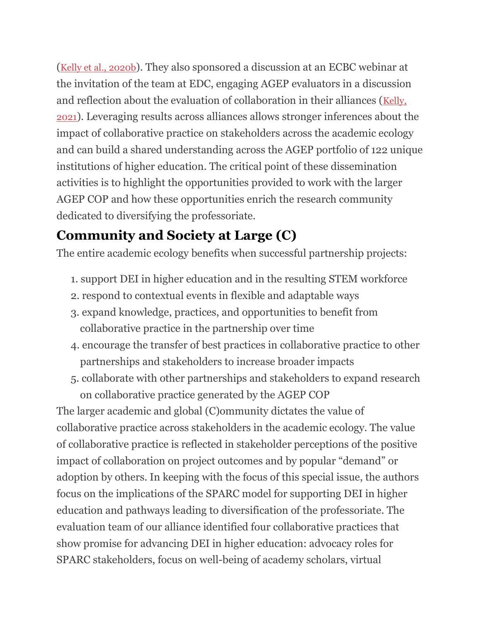([Kelly et al., 2020b](https://www.frontiersin.org/articles/10.3389/fpsyg.2021.751660/full#ref26)). They also sponsored a discussion at an ECBC webinar at the invitation of the team at EDC, engaging AGEP evaluators in a discussion and reflection about the evaluation of collaboration in their alliances ([Kelly,](https://www.frontiersin.org/articles/10.3389/fpsyg.2021.751660/full#ref23)  [2021](https://www.frontiersin.org/articles/10.3389/fpsyg.2021.751660/full#ref23)). Leveraging results across alliances allows stronger inferences about the impact of collaborative practice on stakeholders across the academic ecology and can build a shared understanding across the AGEP portfolio of 122 unique institutions of higher education. The critical point of these dissemination activities is to highlight the opportunities provided to work with the larger AGEP COP and how these opportunities enrich the research community dedicated to diversifying the professoriate.

## **Community and Society at Large (C)**

The entire academic ecology benefits when successful partnership projects:

- 1. support DEI in higher education and in the resulting STEM workforce
- 2. respond to contextual events in flexible and adaptable ways
- 3. expand knowledge, practices, and opportunities to benefit from collaborative practice in the partnership over time
- 4. encourage the transfer of best practices in collaborative practice to other partnerships and stakeholders to increase broader impacts
- 5. collaborate with other partnerships and stakeholders to expand research on collaborative practice generated by the AGEP COP

The larger academic and global (C)ommunity dictates the value of collaborative practice across stakeholders in the academic ecology. The value of collaborative practice is reflected in stakeholder perceptions of the positive impact of collaboration on project outcomes and by popular "demand" or adoption by others. In keeping with the focus of this special issue, the authors focus on the implications of the SPARC model for supporting DEI in higher education and pathways leading to diversification of the professoriate. The evaluation team of our alliance identified four collaborative practices that show promise for advancing DEI in higher education: advocacy roles for SPARC stakeholders, focus on well-being of academy scholars, virtual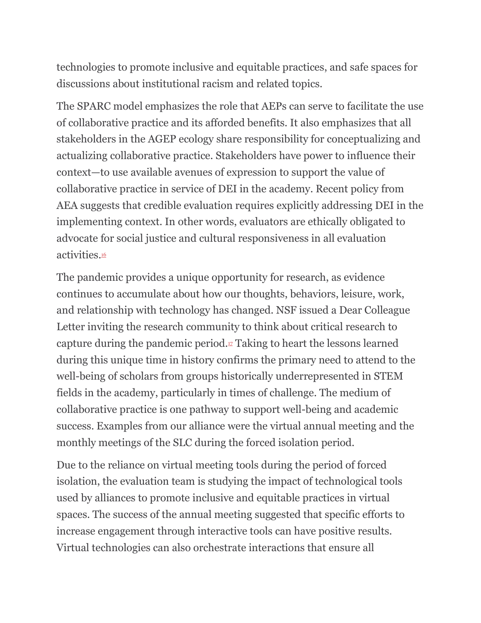technologies to promote inclusive and equitable practices, and safe spaces for discussions about institutional racism and related topics.

The SPARC model emphasizes the role that AEPs can serve to facilitate the use of collaborative practice and its afforded benefits. It also emphasizes that all stakeholders in the AGEP ecology share responsibility for conceptualizing and actualizing collaborative practice. Stakeholders have power to influence their context—to use available avenues of expression to support the value of collaborative practice in service of DEI in the academy. Recent policy from AEA suggests that credible evaluation requires explicitly addressing DEI in the implementing context. In other words, evaluators are ethically obligated to advocate for social justice and cultural responsiveness in all evaluation activities.[16](https://www.frontiersin.org/articles/10.3389/fpsyg.2021.751660/full#fn0016)

The pandemic provides a unique opportunity for research, as evidence continues to accumulate about how our thoughts, behaviors, leisure, work, and relationship with technology has changed. NSF issued a Dear Colleague Letter inviting the research community to think about critical research to capture during the pandemic period. $\mathbb{F}$  Taking to heart the lessons learned during this unique time in history confirms the primary need to attend to the well-being of scholars from groups historically underrepresented in STEM fields in the academy, particularly in times of challenge. The medium of collaborative practice is one pathway to support well-being and academic success. Examples from our alliance were the virtual annual meeting and the monthly meetings of the SLC during the forced isolation period.

Due to the reliance on virtual meeting tools during the period of forced isolation, the evaluation team is studying the impact of technological tools used by alliances to promote inclusive and equitable practices in virtual spaces. The success of the annual meeting suggested that specific efforts to increase engagement through interactive tools can have positive results. Virtual technologies can also orchestrate interactions that ensure all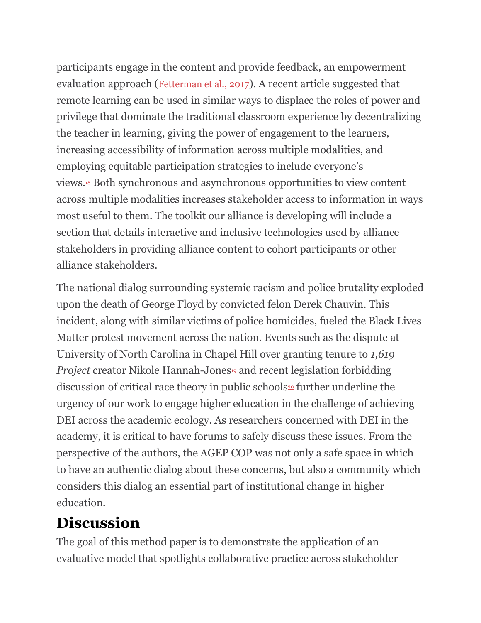participants engage in the content and provide feedback, an empowerment evaluation approach ([Fetterman et al., 2017](https://www.frontiersin.org/articles/10.3389/fpsyg.2021.751660/full#ref13)). A recent article suggested that remote learning can be used in similar ways to displace the roles of power and privilege that dominate the traditional classroom experience by decentralizing the teacher in learning, giving the power of engagement to the learners, increasing accessibility of information across multiple modalities, and employing equitable participation strategies to include everyone's views.[18](https://www.frontiersin.org/articles/10.3389/fpsyg.2021.751660/full#fn0018) Both synchronous and asynchronous opportunities to view content across multiple modalities increases stakeholder access to information in ways most useful to them. The toolkit our alliance is developing will include a section that details interactive and inclusive technologies used by alliance stakeholders in providing alliance content to cohort participants or other alliance stakeholders.

The national dialog surrounding systemic racism and police brutality exploded upon the death of George Floyd by convicted felon Derek Chauvin. This incident, along with similar victims of police homicides, fueled the Black Lives Matter protest movement across the nation. Events such as the dispute at University of North Carolina in Chapel Hill over granting tenure to *1,619 Project* creator Nikole Hannah-Jones<sup>[19](https://www.frontiersin.org/articles/10.3389/fpsyg.2021.751660/full#fn0019)</sup> and recent legislation forbidding discussion of critical race theory in public schools $\omega$  further underline the urgency of our work to engage higher education in the challenge of achieving DEI across the academic ecology. As researchers concerned with DEI in the academy, it is critical to have forums to safely discuss these issues. From the perspective of the authors, the AGEP COP was not only a safe space in which to have an authentic dialog about these concerns, but also a community which considers this dialog an essential part of institutional change in higher education.

# **Discussion**

The goal of this method paper is to demonstrate the application of an evaluative model that spotlights collaborative practice across stakeholder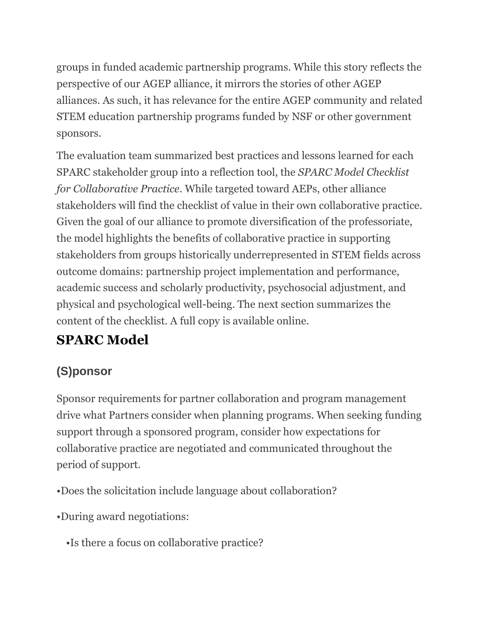groups in funded academic partnership programs. While this story reflects the perspective of our AGEP alliance, it mirrors the stories of other AGEP alliances. As such, it has relevance for the entire AGEP community and related STEM education partnership programs funded by NSF or other government sponsors.

The evaluation team summarized best practices and lessons learned for each SPARC stakeholder group into a reflection tool, the *SPARC Model Checklist for Collaborative Practice*. While targeted toward AEPs, other alliance stakeholders will find the checklist of value in their own collaborative practice. Given the goal of our alliance to promote diversification of the professoriate, the model highlights the benefits of collaborative practice in supporting stakeholders from groups historically underrepresented in STEM fields across outcome domains: partnership project implementation and performance, academic success and scholarly productivity, psychosocial adjustment, and physical and psychological well-being. The next section summarizes the content of the checklist. A full copy is available online.

# **SPARC Model**

## **(S)ponsor**

Sponsor requirements for partner collaboration and program management drive what Partners consider when planning programs. When seeking funding support through a sponsored program, consider how expectations for collaborative practice are negotiated and communicated throughout the period of support.

- •Does the solicitation include language about collaboration?
- •During award negotiations:
	- •Is there a focus on collaborative practice?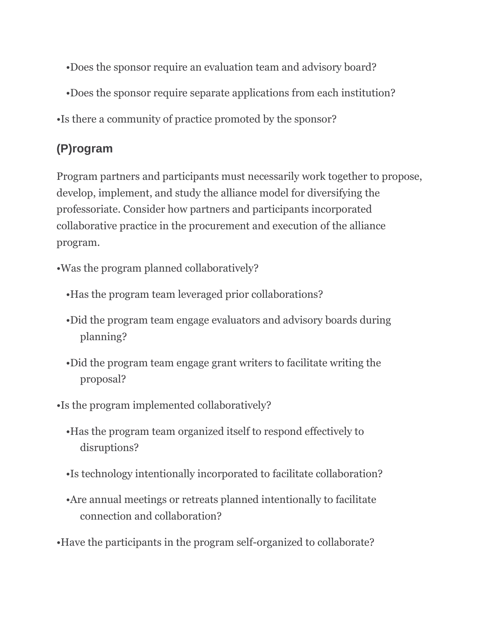- •Does the sponsor require an evaluation team and advisory board?
- •Does the sponsor require separate applications from each institution?
- •Is there a community of practice promoted by the sponsor?

## **(P)rogram**

Program partners and participants must necessarily work together to propose, develop, implement, and study the alliance model for diversifying the professoriate. Consider how partners and participants incorporated collaborative practice in the procurement and execution of the alliance program.

- •Was the program planned collaboratively?
	- •Has the program team leveraged prior collaborations?
	- •Did the program team engage evaluators and advisory boards during planning?
	- •Did the program team engage grant writers to facilitate writing the proposal?
- •Is the program implemented collaboratively?
	- •Has the program team organized itself to respond effectively to disruptions?
	- •Is technology intentionally incorporated to facilitate collaboration?
	- •Are annual meetings or retreats planned intentionally to facilitate connection and collaboration?
- •Have the participants in the program self-organized to collaborate?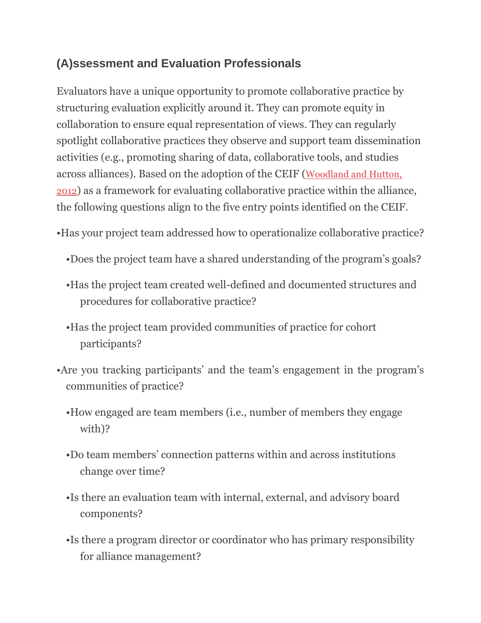## **(A)ssessment and Evaluation Professionals**

Evaluators have a unique opportunity to promote collaborative practice by structuring evaluation explicitly around it. They can promote equity in collaboration to ensure equal representation of views. They can regularly spotlight collaborative practices they observe and support team dissemination activities (e.g., promoting sharing of data, collaborative tools, and studies across alliances). Based on the adoption of the CEIF ([Woodland and Hutton,](https://www.frontiersin.org/articles/10.3389/fpsyg.2021.751660/full#ref53)  [2012](https://www.frontiersin.org/articles/10.3389/fpsyg.2021.751660/full#ref53)) as a framework for evaluating collaborative practice within the alliance, the following questions align to the five entry points identified on the CEIF.

•Has your project team addressed how to operationalize collaborative practice?

- •Does the project team have a shared understanding of the program's goals?
- •Has the project team created well-defined and documented structures and procedures for collaborative practice?
- •Has the project team provided communities of practice for cohort participants?
- •Are you tracking participants' and the team's engagement in the program's communities of practice?
	- •How engaged are team members (i.e., number of members they engage with)?
	- •Do team members' connection patterns within and across institutions change over time?
	- •Is there an evaluation team with internal, external, and advisory board components?
	- •Is there a program director or coordinator who has primary responsibility for alliance management?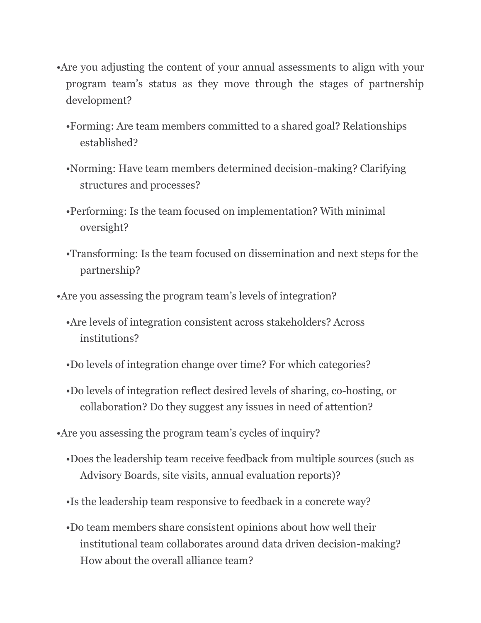- •Are you adjusting the content of your annual assessments to align with your program team's status as they move through the stages of partnership development?
	- •Forming: Are team members committed to a shared goal? Relationships established?
	- •Norming: Have team members determined decision-making? Clarifying structures and processes?
	- •Performing: Is the team focused on implementation? With minimal oversight?
	- •Transforming: Is the team focused on dissemination and next steps for the partnership?
- •Are you assessing the program team's levels of integration?
	- •Are levels of integration consistent across stakeholders? Across institutions?
	- •Do levels of integration change over time? For which categories?
	- •Do levels of integration reflect desired levels of sharing, co-hosting, or collaboration? Do they suggest any issues in need of attention?
- •Are you assessing the program team's cycles of inquiry?
	- •Does the leadership team receive feedback from multiple sources (such as Advisory Boards, site visits, annual evaluation reports)?
	- •Is the leadership team responsive to feedback in a concrete way?
	- •Do team members share consistent opinions about how well their institutional team collaborates around data driven decision-making? How about the overall alliance team?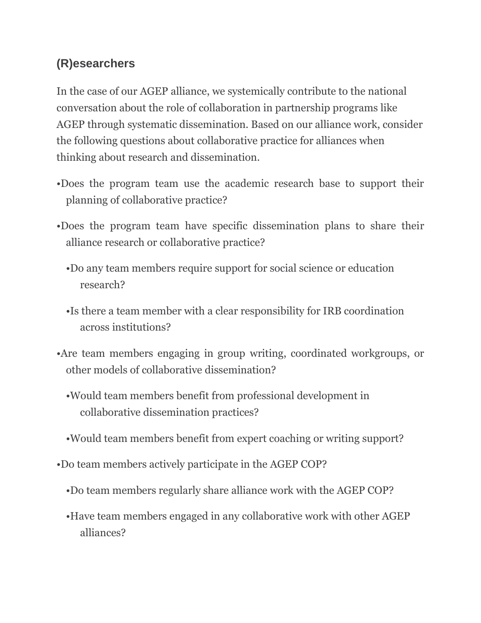## **(R)esearchers**

In the case of our AGEP alliance, we systemically contribute to the national conversation about the role of collaboration in partnership programs like AGEP through systematic dissemination. Based on our alliance work, consider the following questions about collaborative practice for alliances when thinking about research and dissemination.

- •Does the program team use the academic research base to support their planning of collaborative practice?
- •Does the program team have specific dissemination plans to share their alliance research or collaborative practice?
	- •Do any team members require support for social science or education research?
	- •Is there a team member with a clear responsibility for IRB coordination across institutions?
- •Are team members engaging in group writing, coordinated workgroups, or other models of collaborative dissemination?
	- •Would team members benefit from professional development in collaborative dissemination practices?
	- •Would team members benefit from expert coaching or writing support?
- •Do team members actively participate in the AGEP COP?
	- •Do team members regularly share alliance work with the AGEP COP?
	- •Have team members engaged in any collaborative work with other AGEP alliances?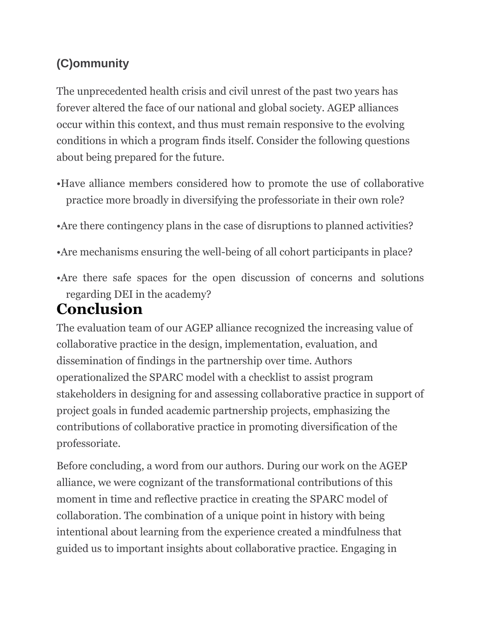## **(C)ommunity**

The unprecedented health crisis and civil unrest of the past two years has forever altered the face of our national and global society. AGEP alliances occur within this context, and thus must remain responsive to the evolving conditions in which a program finds itself. Consider the following questions about being prepared for the future.

- •Have alliance members considered how to promote the use of collaborative practice more broadly in diversifying the professoriate in their own role?
- •Are there contingency plans in the case of disruptions to planned activities?
- •Are mechanisms ensuring the well-being of all cohort participants in place?
- •Are there safe spaces for the open discussion of concerns and solutions regarding DEI in the academy?

## **Conclusion**

The evaluation team of our AGEP alliance recognized the increasing value of collaborative practice in the design, implementation, evaluation, and dissemination of findings in the partnership over time. Authors operationalized the SPARC model with a checklist to assist program stakeholders in designing for and assessing collaborative practice in support of project goals in funded academic partnership projects, emphasizing the contributions of collaborative practice in promoting diversification of the professoriate.

Before concluding, a word from our authors. During our work on the AGEP alliance, we were cognizant of the transformational contributions of this moment in time and reflective practice in creating the SPARC model of collaboration. The combination of a unique point in history with being intentional about learning from the experience created a mindfulness that guided us to important insights about collaborative practice. Engaging in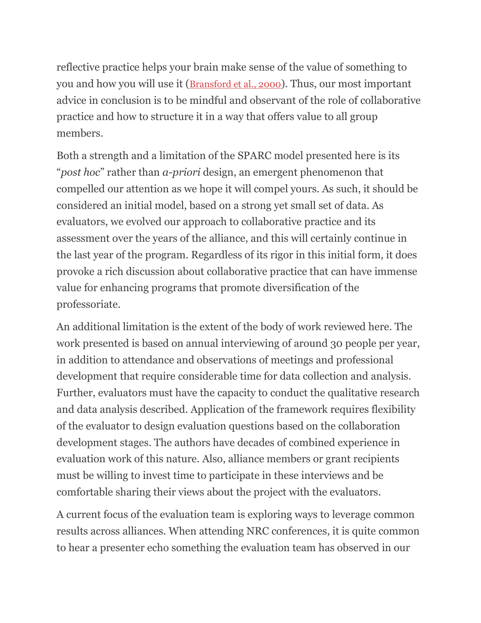reflective practice helps your brain make sense of the value of something to you and how you will use it ([Bransford et al., 2000](https://www.frontiersin.org/articles/10.3389/fpsyg.2021.751660/full#ref5)). Thus, our most important advice in conclusion is to be mindful and observant of the role of collaborative practice and how to structure it in a way that offers value to all group members.

Both a strength and a limitation of the SPARC model presented here is its "*post hoc*" rather than *a-priori* design, an emergent phenomenon that compelled our attention as we hope it will compel yours. As such, it should be considered an initial model, based on a strong yet small set of data. As evaluators, we evolved our approach to collaborative practice and its assessment over the years of the alliance, and this will certainly continue in the last year of the program. Regardless of its rigor in this initial form, it does provoke a rich discussion about collaborative practice that can have immense value for enhancing programs that promote diversification of the professoriate.

An additional limitation is the extent of the body of work reviewed here. The work presented is based on annual interviewing of around 30 people per year, in addition to attendance and observations of meetings and professional development that require considerable time for data collection and analysis. Further, evaluators must have the capacity to conduct the qualitative research and data analysis described. Application of the framework requires flexibility of the evaluator to design evaluation questions based on the collaboration development stages. The authors have decades of combined experience in evaluation work of this nature. Also, alliance members or grant recipients must be willing to invest time to participate in these interviews and be comfortable sharing their views about the project with the evaluators.

A current focus of the evaluation team is exploring ways to leverage common results across alliances. When attending NRC conferences, it is quite common to hear a presenter echo something the evaluation team has observed in our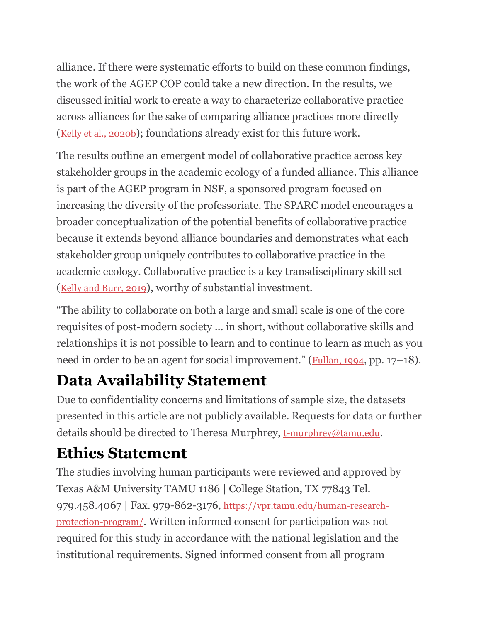alliance. If there were systematic efforts to build on these common findings, the work of the AGEP COP could take a new direction. In the results, we discussed initial work to create a way to characterize collaborative practice across alliances for the sake of comparing alliance practices more directly ([Kelly et al., 2020b](https://www.frontiersin.org/articles/10.3389/fpsyg.2021.751660/full#ref26)); foundations already exist for this future work.

The results outline an emergent model of collaborative practice across key stakeholder groups in the academic ecology of a funded alliance. This alliance is part of the AGEP program in NSF, a sponsored program focused on increasing the diversity of the professoriate. The SPARC model encourages a broader conceptualization of the potential benefits of collaborative practice because it extends beyond alliance boundaries and demonstrates what each stakeholder group uniquely contributes to collaborative practice in the academic ecology. Collaborative practice is a key transdisciplinary skill set ([Kelly and Burr, 2019](https://www.frontiersin.org/articles/10.3389/fpsyg.2021.751660/full#ref24)), worthy of substantial investment.

"The ability to collaborate on both a large and small scale is one of the core requisites of post-modern society … in short, without collaborative skills and relationships it is not possible to learn and to continue to learn as much as you need in order to be an agent for social improvement." ([Fullan, 1994](https://www.frontiersin.org/articles/10.3389/fpsyg.2021.751660/full#ref14), pp. 17–18).

# **Data Availability Statement**

Due to confidentiality concerns and limitations of sample size, the datasets presented in this article are not publicly available. Requests for data or further details should be directed to Theresa Murphrey, [t-murphrey@tamu.edu](mailto:t-murphrey@tamu.edu).

# **Ethics Statement**

The studies involving human participants were reviewed and approved by Texas A&M University TAMU 1186 | College Station, TX 77843 Tel. 979.458.4067 | Fax. 979-862-3176, [https://vpr.tamu.edu/human-research](https://vpr.tamu.edu/human-research-protection-program/)[protection-program/](https://vpr.tamu.edu/human-research-protection-program/). Written informed consent for participation was not required for this study in accordance with the national legislation and the institutional requirements. Signed informed consent from all program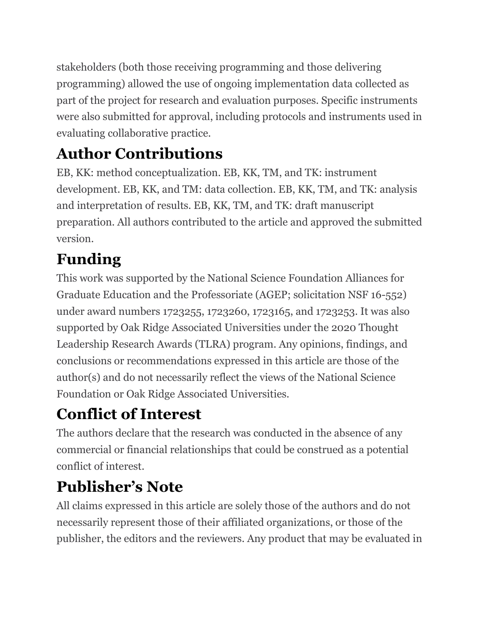stakeholders (both those receiving programming and those delivering programming) allowed the use of ongoing implementation data collected as part of the project for research and evaluation purposes. Specific instruments were also submitted for approval, including protocols and instruments used in evaluating collaborative practice.

# **Author Contributions**

EB, KK: method conceptualization. EB, KK, TM, and TK: instrument development. EB, KK, and TM: data collection. EB, KK, TM, and TK: analysis and interpretation of results. EB, KK, TM, and TK: draft manuscript preparation. All authors contributed to the article and approved the submitted version.

# **Funding**

This work was supported by the National Science Foundation Alliances for Graduate Education and the Professoriate (AGEP; solicitation NSF 16-552) under award numbers 1723255, 1723260, 1723165, and 1723253. It was also supported by Oak Ridge Associated Universities under the 2020 Thought Leadership Research Awards (TLRA) program. Any opinions, findings, and conclusions or recommendations expressed in this article are those of the author(s) and do not necessarily reflect the views of the National Science Foundation or Oak Ridge Associated Universities.

# **Conflict of Interest**

The authors declare that the research was conducted in the absence of any commercial or financial relationships that could be construed as a potential conflict of interest.

# **Publisher's Note**

All claims expressed in this article are solely those of the authors and do not necessarily represent those of their affiliated organizations, or those of the publisher, the editors and the reviewers. Any product that may be evaluated in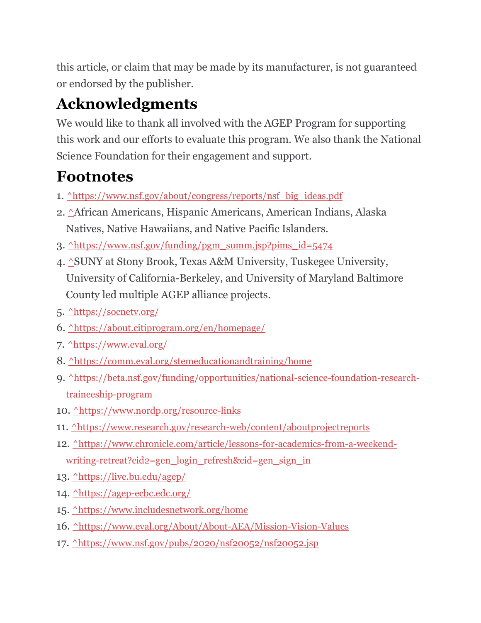this article, or claim that may be made by its manufacturer, is not guaranteed or endorsed by the publisher.

# **Acknowledgments**

We would like to thank all involved with the AGEP Program for supporting this work and our efforts to evaluate this program. We also thank the National Science Foundation for their engagement and support.

# **Footnotes**

- 1. [^](https://www.frontiersin.org/articles/10.3389/fpsyg.2021.751660/full#xfn0001)[https://www.nsf.gov/about/congress/reports/nsf\\_big\\_ideas.pdf](https://www.nsf.gov/about/congress/reports/nsf_big_ideas.pdf)
- 2. [^](https://www.frontiersin.org/articles/10.3389/fpsyg.2021.751660/full#xfn0002)African Americans, Hispanic Americans, American Indians, Alaska Natives, Native Hawaiians, and Native Pacific Islanders.
- 3.  $\Delta$ [https://www.nsf.gov/funding/pgm\\_summ.jsp?pims\\_id=5474](https://www.nsf.gov/funding/pgm_summ.jsp?pims_id=5474)
- 4. [^](https://www.frontiersin.org/articles/10.3389/fpsyg.2021.751660/full#xfn0004)SUNY at Stony Brook, Texas A&M University, Tuskegee University, University of California-Berkeley, and University of Maryland Baltimore County led multiple AGEP alliance projects.
- 5. [^](https://www.frontiersin.org/articles/10.3389/fpsyg.2021.751660/full#xfn0005)<https://socnetv.org/>
- 6. [^](https://www.frontiersin.org/articles/10.3389/fpsyg.2021.751660/full#xfn0006)<https://about.citiprogram.org/en/homepage/>
- 7. [^](https://www.frontiersin.org/articles/10.3389/fpsyg.2021.751660/full#xfn0007)<https://www.eval.org/>
- 8. <u>[^](https://www.frontiersin.org/articles/10.3389/fpsyg.2021.751660/full#xfn0008)<https://comm.eval.org/stemeducationandtraining/home></u>
- 9. [^](https://www.frontiersin.org/articles/10.3389/fpsyg.2021.751660/full#xfn0009)[https://beta.nsf.gov/funding/opportunities/national-science-foundation-research](https://beta.nsf.gov/funding/opportunities/national-science-foundation-research-traineeship-program)[traineeship-program](https://beta.nsf.gov/funding/opportunities/national-science-foundation-research-traineeship-program)
- 10. [^](https://www.frontiersin.org/articles/10.3389/fpsyg.2021.751660/full#xfn0010)<https://www.nordp.org/resource-links>
- 11. [^](https://www.frontiersin.org/articles/10.3389/fpsyg.2021.751660/full#xfn0011)<https://www.research.gov/research-web/content/aboutprojectreports>
- 12. [^](https://www.frontiersin.org/articles/10.3389/fpsyg.2021.751660/full#xfn0012)[https://www.chronicle.com/article/lessons-for-academics-from-a-weekend](https://www.chronicle.com/article/lessons-for-academics-from-a-weekend-writing-retreat?cid2=gen_login_refresh&cid=gen_sign_in)[writing-retreat?cid2=gen\\_login\\_refresh&cid=gen\\_sign\\_in](https://www.chronicle.com/article/lessons-for-academics-from-a-weekend-writing-retreat?cid2=gen_login_refresh&cid=gen_sign_in)
- 13. [^](https://www.frontiersin.org/articles/10.3389/fpsyg.2021.751660/full#xfn0013)<https://live.bu.edu/agep/>
- 14. [^](https://www.frontiersin.org/articles/10.3389/fpsyg.2021.751660/full#xfn0014)<https://agep-ecbc.edc.org/>
- 15. [^](https://www.frontiersin.org/articles/10.3389/fpsyg.2021.751660/full#xfn0015)<https://www.includesnetwork.org/home>
- 16. [^](https://www.frontiersin.org/articles/10.3389/fpsyg.2021.751660/full#xfn0016)<https://www.eval.org/About/About-AEA/Mission-Vision-Values>
- 17. [^](https://www.frontiersin.org/articles/10.3389/fpsyg.2021.751660/full#xfn0017)<https://www.nsf.gov/pubs/2020/nsf20052/nsf20052.jsp>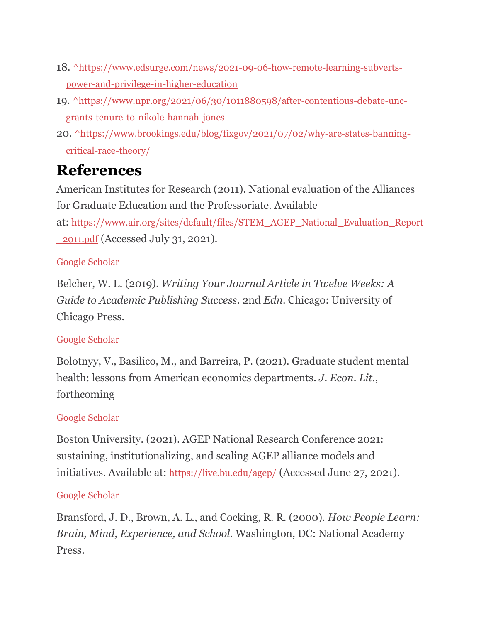- 18. [^](https://www.frontiersin.org/articles/10.3389/fpsyg.2021.751660/full#xfn0018)[https://www.edsurge.com/news/2021-09-06-how-remote-learning-subverts](https://www.edsurge.com/news/2021-09-06-how-remote-learning-subverts-power-and-privilege-in-higher-education)[power-and-privilege-in-higher-education](https://www.edsurge.com/news/2021-09-06-how-remote-learning-subverts-power-and-privilege-in-higher-education)
- 19. [^](https://www.frontiersin.org/articles/10.3389/fpsyg.2021.751660/full#xfn0019)[https://www.npr.org/2021/06/30/1011880598/after-contentious-debate-unc](https://www.npr.org/2021/06/30/1011880598/after-contentious-debate-unc-grants-tenure-to-nikole-hannah-jones)[grants-tenure-to-nikole-hannah-jones](https://www.npr.org/2021/06/30/1011880598/after-contentious-debate-unc-grants-tenure-to-nikole-hannah-jones)
- 20. [^](https://www.frontiersin.org/articles/10.3389/fpsyg.2021.751660/full#xfn0020)[https://www.brookings.edu/blog/fixgov/2021/07/02/why-are-states-banning](https://www.brookings.edu/blog/fixgov/2021/07/02/why-are-states-banning-critical-race-theory/)[critical-race-theory/](https://www.brookings.edu/blog/fixgov/2021/07/02/why-are-states-banning-critical-race-theory/)

# **References**

American Institutes for Research (2011). National evaluation of the Alliances for Graduate Education and the Professoriate. Available at: [https://www.air.org/sites/default/files/STEM\\_AGEP\\_National\\_Evaluation\\_Report](https://www.air.org/sites/default/files/STEM_AGEP_National_Evaluation_Report_2011.pdf) [\\_2011.pdf](https://www.air.org/sites/default/files/STEM_AGEP_National_Evaluation_Report_2011.pdf) (Accessed July 31, 2021).

## [Google Scholar](http://scholar.google.com/scholar_lookup?publication_year=2011&)

Belcher, W. L. (2019). *Writing Your Journal Article in Twelve Weeks: A Guide to Academic Publishing Success.* 2nd *Edn*. Chicago: University of Chicago Press.

## [Google Scholar](http://scholar.google.com/scholar_lookup?author=W.+L.+Belcher&publication_year=2019&journal=Writing+Your+Journal+Article+in+Twelve+Weeks:+A+Guide+to+Academic+Publishing+Success.&)

Bolotnyy, V., Basilico, M., and Barreira, P. (2021). Graduate student mental health: lessons from American economics departments. *J. Econ. Lit.*, forthcoming

## [Google Scholar](http://scholar.google.com/scholar_lookup?author=V.+Bolotnyy&author=M.+Basilico&author=P.+Barreira&publication_year=2021&title=Graduate+student+mental+health:+lessons+from+American+economics+departments&journal=J.+Econ.+Lit.&)

Boston University. (2021). AGEP National Research Conference 2021: sustaining, institutionalizing, and scaling AGEP alliance models and initiatives. Available at: <https://live.bu.edu/agep/> (Accessed June 27, 2021).

## [Google Scholar](http://scholar.google.com/scholar_lookup?publication_year=2021&)

Bransford, J. D., Brown, A. L., and Cocking, R. R. (2000). *How People Learn: Brain, Mind, Experience, and School.* Washington, DC: National Academy Press.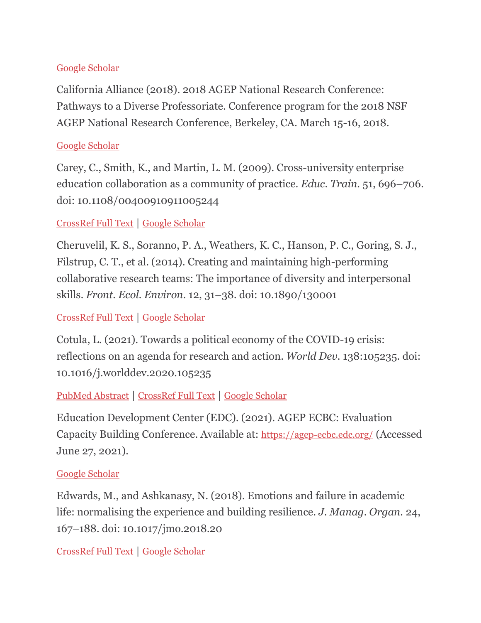### [Google Scholar](http://scholar.google.com/scholar_lookup?author=J.+D.+Bransford&author=A.+L.+Brown&author=R.+R.+Cocking&publication_year=2000&journal=How+People+Learn:+Brain+Mind+Experience+and+School.&)

California Alliance (2018). 2018 AGEP National Research Conference: Pathways to a Diverse Professoriate. Conference program for the 2018 NSF AGEP National Research Conference, Berkeley, CA. March 15-16, 2018.

#### [Google Scholar](http://scholar.google.com/scholar_lookup?publication_year=2018&)

Carey, C., Smith, K., and Martin, L. M. (2009). Cross-university enterprise education collaboration as a community of practice. *Educ. Train.* 51, 696–706. doi: 10.1108/00400910911005244

## [CrossRef Full Text](https://doi.org/10.1108/00400910911005244) | [Google Scholar](http://scholar.google.com/scholar_lookup?author=C.+Carey&author=K.+Smith&author=L.+M.+Martin&publication_year=2009&title=Cross-university+enterprise+education+collaboration+as+a+community+of+practice&journal=Educ.+Train.&volume=51&pages=696-706)

Cheruvelil, K. S., Soranno, P. A., Weathers, K. C., Hanson, P. C., Goring, S. J., Filstrup, C. T., et al. (2014). Creating and maintaining high-performing collaborative research teams: The importance of diversity and interpersonal skills. *Front. Ecol. Environ.* 12, 31–38. doi: 10.1890/130001

## [CrossRef Full Text](https://doi.org/10.1890/130001) | [Google Scholar](http://scholar.google.com/scholar_lookup?author=K.+S.+Cheruvelil&author=P.+A.+Soranno&author=K.+C.+Weathers&author=P.+C.+Hanson&author=S.+J.+Goring&author=C.+T.+Filstrup&publication_year=2014&title=Creating+and+maintaining+high-performing+collaborative+research+teams:+The+importance+of+diversity+and+interpersonal+skills&journal=Front.+Ecol.+Environ.&volume=12&pages=31-38)

Cotula, L. (2021). Towards a political economy of the COVID-19 crisis: reflections on an agenda for research and action. *World Dev.* 138:105235. doi: 10.1016/j.worlddev.2020.105235

## [PubMed Abstract](https://pubmed.ncbi.nlm.nih.gov/33100479) | [CrossRef Full Text](https://doi.org/10.1016/j.worlddev.2020.105235) | [Google Scholar](http://scholar.google.com/scholar_lookup?author=L.+Cotula&publication_year=2021&title=Towards+a+political+economy+of+the+COVID-19+crisis:+reflections+on+an+agenda+for+research+and+action&journal=World+Dev.&volume=138&pages=105235)

Education Development Center (EDC). (2021). AGEP ECBC: Evaluation Capacity Building Conference. Available at: <https://agep-ecbc.edc.org/> (Accessed June 27, 2021).

#### [Google Scholar](http://scholar.google.com/scholar_lookup?publication_year=2021&)

Edwards, M., and Ashkanasy, N. (2018). Emotions and failure in academic life: normalising the experience and building resilience. *J. Manag. Organ.* 24, 167–188. doi: 10.1017/jmo.2018.20

[CrossRef Full Text](https://doi.org/10.1017/jmo.2018.20) | [Google Scholar](http://scholar.google.com/scholar_lookup?author=M.+Edwards&author=N.+Ashkanasy&publication_year=2018&title=Emotions+and+failure+in+academic+life:+normalising+the+experience+and+building+resilience&journal=J.+Manag.+Organ.&volume=24&pages=167-188)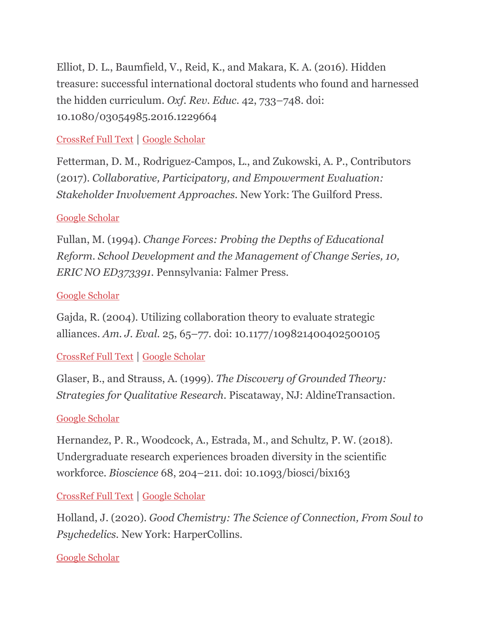Elliot, D. L., Baumfield, V., Reid, K., and Makara, K. A. (2016). Hidden treasure: successful international doctoral students who found and harnessed the hidden curriculum. *Oxf. Rev. Educ.* 42, 733–748. doi: 10.1080/03054985.2016.1229664

[CrossRef Full Text](https://doi.org/10.1080/03054985.2016.1229664) | [Google Scholar](http://scholar.google.com/scholar_lookup?author=D.+L.+Elliot&author=V.+Baumfield&author=K.+Reid&author=K.+A.+Makara&publication_year=2016&title=Hidden+treasure:+successful+international+doctoral+students+who+found+and+harnessed+the+hidden+curriculum&journal=Oxf.+Rev.+Educ.&volume=42&pages=733-748)

Fetterman, D. M., Rodriguez-Campos, L., and Zukowski, A. P., Contributors (2017). *Collaborative, Participatory, and Empowerment Evaluation: Stakeholder Involvement Approaches.* New York: The Guilford Press.

### [Google Scholar](http://scholar.google.com/scholar_lookup?author=D.+M.+Fetterman&author=L.+Rodriguez-Campos&author=A.+P.+Zukowski&publication_year=2017&journal=Collaborative+Participatory+and+Empowerment+Evaluation:+Stakeholder+Involvement+Approaches.&)

Fullan, M. (1994). *Change Forces: Probing the Depths of Educational Reform. School Development and the Management of Change Series, 10, ERIC NO ED373391.* Pennsylvania: Falmer Press.

#### [Google Scholar](http://scholar.google.com/scholar_lookup?author=M.+Fullan&publication_year=1994&journal=Change+Forces:+Probing+the+Depths+of+Educational+Reform.+School+Development+and+the+Management+of+Change+Series+10+ERIC+NO+ED373391.&)

Gajda, R. (2004). Utilizing collaboration theory to evaluate strategic alliances. *Am. J. Eval.* 25, 65–77. doi: 10.1177/109821400402500105

[CrossRef Full Text](https://doi.org/10.1177/109821400402500105) | [Google Scholar](http://scholar.google.com/scholar_lookup?author=R.+Gajda&publication_year=2004&title=Utilizing+collaboration+theory+to+evaluate+strategic+alliances&journal=Am.+J.+Eval.&volume=25&pages=65-77)

Glaser, B., and Strauss, A. (1999). *The Discovery of Grounded Theory: Strategies for Qualitative Research.* Piscataway, NJ: AldineTransaction.

#### [Google Scholar](http://scholar.google.com/scholar_lookup?author=B.+Glaser&author=A.+Strauss&publication_year=1999&journal=The+Discovery+of+Grounded+Theory:+Strategies+for+Qualitative+Research.&)

Hernandez, P. R., Woodcock, A., Estrada, M., and Schultz, P. W. (2018). Undergraduate research experiences broaden diversity in the scientific workforce. *Bioscience* 68, 204–211. doi: 10.1093/biosci/bix163

[CrossRef Full Text](https://doi.org/10.1093/biosci/bix163) | [Google Scholar](http://scholar.google.com/scholar_lookup?author=P.+R.+Hernandez&author=A.+Woodcock&author=M.+Estrada&author=P.+W.+Schultz&publication_year=2018&title=Undergraduate+research+experiences+broaden+diversity+in+the+scientific+workforce&journal=Bioscience&volume=68&pages=204-211)

Holland, J. (2020). *Good Chemistry: The Science of Connection, From Soul to Psychedelics.* New York: HarperCollins.

[Google Scholar](http://scholar.google.com/scholar_lookup?author=J.+Holland&publication_year=2020&journal=Good+Chemistry:+The+Science+of+Connection+From+Soul+to+Psychedelics.&)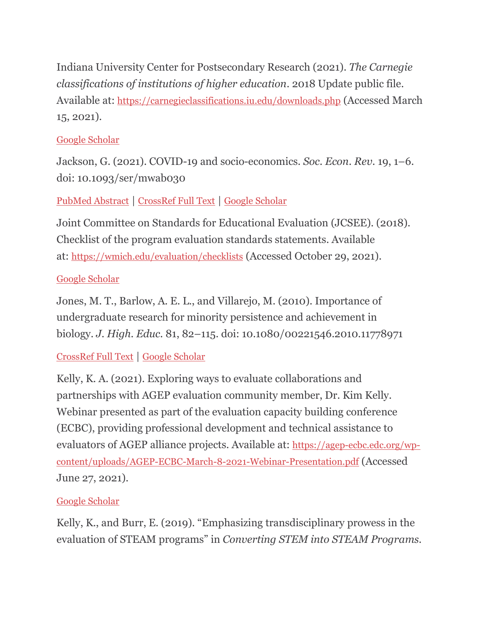Indiana University Center for Postsecondary Research (2021). *The Carnegie classifications of institutions of higher education*. 2018 Update public file. Available at: <https://carnegieclassifications.iu.edu/downloads.php> (Accessed March 15, 2021).

## [Google Scholar](http://scholar.google.com/scholar_lookup?publication_year=2021&)

Jackson, G. (2021). COVID-19 and socio-economics. *Soc. Econ. Rev.* 19, 1–6. doi: 10.1093/ser/mwab030

## [PubMed Abstract](https://pubmed.ncbi.nlm.nih.gov/34393661) | [CrossRef Full Text](https://doi.org/10.1093/ser/mwab030) | [Google Scholar](http://scholar.google.com/scholar_lookup?author=G.+Jackson&publication_year=2021&title=COVID-19+and+socio-economics&journal=Soc.+Econ.+Rev.&volume=19&pages=1-6)

Joint Committee on Standards for Educational Evaluation (JCSEE). (2018). Checklist of the program evaluation standards statements. Available at: <https://wmich.edu/evaluation/checklists> (Accessed October 29, 2021).

### [Google Scholar](http://scholar.google.com/scholar_lookup?publication_year=2018&)

Jones, M. T., Barlow, A. E. L., and Villarejo, M. (2010). Importance of undergraduate research for minority persistence and achievement in biology. *J. High. Educ.* 81, 82–115. doi: 10.1080/00221546.2010.11778971

## [CrossRef Full Text](https://doi.org/10.1080/00221546.2010.11778971) | [Google Scholar](http://scholar.google.com/scholar_lookup?author=M.+T.+Jones&author=A.+E.+L.+Barlow&author=M.+Villarejo&publication_year=2010&title=Importance+of+undergraduate+research+for+minority+persistence+and+achievement+in+biology&journal=J.+High.+Educ.&volume=81&pages=82-115)

Kelly, K. A. (2021). Exploring ways to evaluate collaborations and partnerships with AGEP evaluation community member, Dr. Kim Kelly. Webinar presented as part of the evaluation capacity building conference (ECBC), providing professional development and technical assistance to evaluators of AGEP alliance projects. Available at: [https://agep-ecbc.edc.org/wp](https://agep-ecbc.edc.org/wp-content/uploads/AGEP-ECBC-March-8-2021-Webinar-Presentation.pdf)[content/uploads/AGEP-ECBC-March-8-2021-Webinar-Presentation.pdf](https://agep-ecbc.edc.org/wp-content/uploads/AGEP-ECBC-March-8-2021-Webinar-Presentation.pdf) (Accessed June 27, 2021).

## [Google Scholar](http://scholar.google.com/scholar_lookup?author=K.+A.+Kelly&publication_year=2021&)

Kelly, K., and Burr, E. (2019). "Emphasizing transdisciplinary prowess in the evaluation of STEAM programs" in *Converting STEM into STEAM Programs.*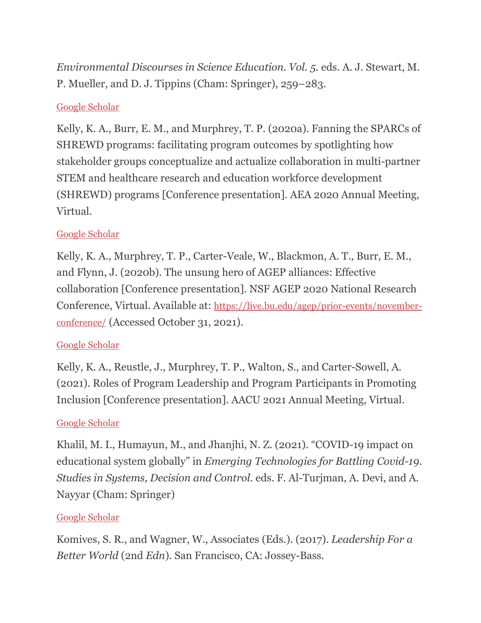*Environmental Discourses in Science Education. Vol. 5.* eds. A. J. Stewart, M. P. Mueller, and D. J. Tippins (Cham: Springer), 259–283.

## [Google Scholar](http://scholar.google.com/scholar_lookup?author=K.+Kelly&author=E.+Burr&publication_year=2019&title=Emphasizing+transdisciplinary+prowess+in+the+evaluation+of+STEAM+programs&journal=Converting+STEM+into+STEAM+Programs.+Environmental+Discourses+in+Science+Education.+Vol.+5.&pages=259-283)

Kelly, K. A., Burr, E. M., and Murphrey, T. P. (2020a). Fanning the SPARCs of SHREWD programs: facilitating program outcomes by spotlighting how stakeholder groups conceptualize and actualize collaboration in multi-partner STEM and healthcare research and education workforce development (SHREWD) programs [Conference presentation]. AEA 2020 Annual Meeting, Virtual.

### [Google Scholar](http://scholar.google.com/scholar_lookup?author=K.+A.+Kelly&author=E.+M.+Burr&author=T.+P.+Murphrey&publication_year=2020a&)

Kelly, K. A., Murphrey, T. P., Carter-Veale, W., Blackmon, A. T., Burr, E. M., and Flynn, J. (2020b). The unsung hero of AGEP alliances: Effective collaboration [Conference presentation]. NSF AGEP 2020 National Research Conference, Virtual. Available at: [https://live.bu.edu/agep/prior-events/november](https://live.bu.edu/agep/prior-events/november-conference/)[conference/](https://live.bu.edu/agep/prior-events/november-conference/) (Accessed October 31, 2021).

#### [Google Scholar](http://scholar.google.com/scholar_lookup?author=K.+A.+Kelly&author=T.+P.+Murphrey&author=W.+Carter-Veale&author=A.+T.+Blackmon&author=E.+M.+Burr&author=J.+Flynn&publication_year=2020b&)

Kelly, K. A., Reustle, J., Murphrey, T. P., Walton, S., and Carter-Sowell, A. (2021). Roles of Program Leadership and Program Participants in Promoting Inclusion [Conference presentation]. AACU 2021 Annual Meeting, Virtual.

#### [Google Scholar](http://scholar.google.com/scholar_lookup?author=K.+A.+Kelly&author=J.+Reustle&author=T.+P.+Murphrey&author=S.+Walton&author=A.+Carter-Sowell&publication_year=2021&)

Khalil, M. I., Humayun, M., and Jhanjhi, N. Z. (2021). "COVID-19 impact on educational system globally" in *Emerging Technologies for Battling Covid-19. Studies in Systems, Decision and Control.* eds. F. Al-Turjman, A. Devi, and A. Nayyar (Cham: Springer)

#### [Google Scholar](http://scholar.google.com/scholar_lookup?author=M.+I.+Khalil&author=M.+Humayun&author=N.+Z.+Jhanjhi&publication_year=2021&title=COVID-19+impact+on+educational+system+globally&journal=Emerging+Technologies+for+Battling+Covid-19.+Studies+in+Systems+Decision+and+Control.&)

Komives, S. R., and Wagner, W., Associates (Eds.). (2017). *Leadership For a Better World* (2nd *Edn*). San Francisco, CA: Jossey-Bass.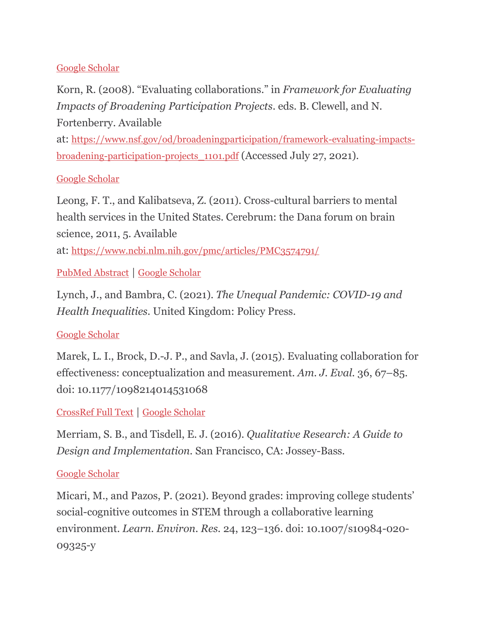#### [Google Scholar](http://scholar.google.com/scholar_lookup?publication_year=2017&journal=Leadership+For+a+Better+World&)

Korn, R. (2008). "Evaluating collaborations." in *Framework for Evaluating Impacts of Broadening Participation Projects*. eds. B. Clewell, and N. Fortenberry. Available

at: [https://www.nsf.gov/od/broadeningparticipation/framework-evaluating-impacts](https://www.nsf.gov/od/broadeningparticipation/framework-evaluating-impacts-broadening-participation-projects_1101.pdf)[broadening-participation-projects\\_1101.pdf](https://www.nsf.gov/od/broadeningparticipation/framework-evaluating-impacts-broadening-participation-projects_1101.pdf) (Accessed July 27, 2021).

### [Google Scholar](http://scholar.google.com/scholar_lookup?author=R.+Korn&publication_year=2008&)

Leong, F. T., and Kalibatseva, Z. (2011). Cross-cultural barriers to mental health services in the United States. Cerebrum: the Dana forum on brain science, 2011, 5. Available

at: <https://www.ncbi.nlm.nih.gov/pmc/articles/PMC3574791/>

[PubMed Abstract](https://pubmed.ncbi.nlm.nih.gov/23447774) | [Google Scholar](http://scholar.google.com/scholar_lookup?author=F.+T.+Leong&author=Z.+Kalibatseva&publication_year=2011&title=Cross-cultural+barriers+to+mental+health+services+in+the+United+States&)

Lynch, J., and Bambra, C. (2021). *The Unequal Pandemic: COVID-19 and Health Inequalities.* United Kingdom: Policy Press.

#### [Google Scholar](http://scholar.google.com/scholar_lookup?author=J.+Lynch&author=C.+Bambra&publication_year=2021&journal=The+Unequal+Pandemic:+COVID-19+and+Health+Inequalities.&)

Marek, L. I., Brock, D.-J. P., and Savla, J. (2015). Evaluating collaboration for effectiveness: conceptualization and measurement. *Am. J. Eval.* 36, 67–85. doi: 10.1177/1098214014531068

## [CrossRef Full Text](https://doi.org/10.1177/1098214014531068) | [Google Scholar](http://scholar.google.com/scholar_lookup?author=L.+I.+Marek&author=D.-J.+P.+Brock&author=J.+Savla&publication_year=2015&title=Evaluating+collaboration+for+effectiveness:+conceptualization+and+measurement&journal=Am.+J.+Eval.&volume=36&pages=67-85)

Merriam, S. B., and Tisdell, E. J. (2016). *Qualitative Research: A Guide to Design and Implementation.* San Francisco, CA: Jossey-Bass.

#### [Google Scholar](http://scholar.google.com/scholar_lookup?author=S.+B.+Merriam&author=E.+J.+Tisdell&publication_year=2016&journal=Qualitative+Research:+A+Guide+to+Design+and+Implementation.&)

Micari, M., and Pazos, P. (2021). Beyond grades: improving college students' social-cognitive outcomes in STEM through a collaborative learning environment. *Learn. Environ. Res.* 24, 123–136. doi: 10.1007/s10984-020- 09325-y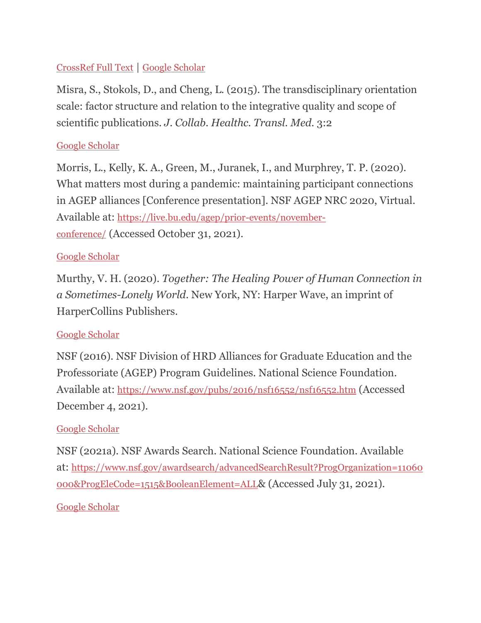## [CrossRef Full Text](https://doi.org/10.1007/s10984-020-09325-y) | [Google Scholar](http://scholar.google.com/scholar_lookup?author=M.+Micari&author=P.+Pazos&publication_year=2021&title=Beyond+grades:+improving+college+students%E2%80%99+social-cognitive+outcomes+in+STEM+through+a+collaborative+learning+environment&journal=Learn.+Environ.+Res.&volume=24&pages=123-136)

Misra, S., Stokols, D., and Cheng, L. (2015). The transdisciplinary orientation scale: factor structure and relation to the integrative quality and scope of scientific publications. *J. Collab. Healthc. Transl. Med.* 3:2

### [Google Scholar](http://scholar.google.com/scholar_lookup?author=S.+Misra&author=D.+Stokols&author=L.+Cheng&publication_year=2015&title=The+transdisciplinary+orientation+scale:+factor+structure+and+relation+to+the+integrative+quality+and+scope+of+scientific+publications&journal=J.+Collab.+Healthc.+Transl.+Med.&volume=3&pages=2)

Morris, L., Kelly, K. A., Green, M., Juranek, I., and Murphrey, T. P. (2020). What matters most during a pandemic: maintaining participant connections in AGEP alliances [Conference presentation]. NSF AGEP NRC 2020, Virtual. Available at: [https://live.bu.edu/agep/prior-events/november](https://live.bu.edu/agep/prior-events/november-conference/)[conference/](https://live.bu.edu/agep/prior-events/november-conference/) (Accessed October 31, 2021).

#### [Google Scholar](http://scholar.google.com/scholar_lookup?author=L.+Morris&author=K.+A.+Kelly&author=M.+Green&author=I.+Juranek&author=T.+P.+Murphrey&publication_year=2020&)

Murthy, V. H. (2020). *Together: The Healing Power of Human Connection in a Sometimes-Lonely World.* New York, NY: Harper Wave, an imprint of HarperCollins Publishers.

#### [Google Scholar](http://scholar.google.com/scholar_lookup?author=V.+H.+Murthy&publication_year=2020&journal=Together:+The+Healing+Power+of+Human+Connection+in+a+Sometimes-Lonely+World.&)

NSF (2016). NSF Division of HRD Alliances for Graduate Education and the Professoriate (AGEP) Program Guidelines. National Science Foundation. Available at: <https://www.nsf.gov/pubs/2016/nsf16552/nsf16552.htm> (Accessed December 4, 2021).

#### [Google Scholar](http://scholar.google.com/scholar_lookup?publication_year=2016&)

NSF (2021a). NSF Awards Search. National Science Foundation. Available at: [https://www.nsf.gov/awardsearch/advancedSearchResult?ProgOrganization=11060](https://www.nsf.gov/awardsearch/advancedSearchResult?ProgOrganization=11060000&ProgEleCode=1515&BooleanElement=ALL) [000&ProgEleCode=1515&BooleanElement=ALL](https://www.nsf.gov/awardsearch/advancedSearchResult?ProgOrganization=11060000&ProgEleCode=1515&BooleanElement=ALL)& (Accessed July 31, 2021).

#### [Google Scholar](http://scholar.google.com/scholar_lookup?publication_year=2021a&)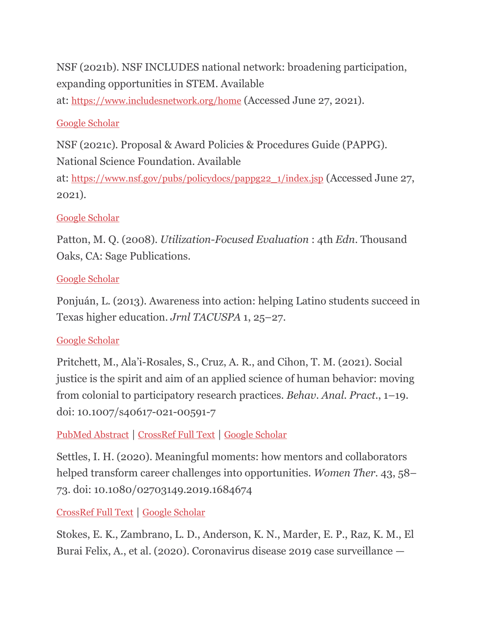NSF (2021b). NSF INCLUDES national network: broadening participation, expanding opportunities in STEM. Available

at: <https://www.includesnetwork.org/home> (Accessed June 27, 2021).

## [Google Scholar](http://scholar.google.com/scholar_lookup?publication_year=2021b&)

NSF (2021c). Proposal & Award Policies & Procedures Guide (PAPPG). National Science Foundation. Available

at: [https://www.nsf.gov/pubs/policydocs/pappg22\\_1/index.jsp](https://www.nsf.gov/pubs/policydocs/pappg22_1/index.jsp) (Accessed June 27, 2021).

## [Google Scholar](http://scholar.google.com/scholar_lookup?publication_year=2021c&)

Patton, M. Q. (2008). *Utilization-Focused Evaluation* : 4th *Edn*. Thousand Oaks, CA: Sage Publications.

## [Google Scholar](http://scholar.google.com/scholar_lookup?author=M.+Q.+Patton&publication_year=2008&journal=Utilization-Focused+Evaluation&)

Ponjuán, L. (2013). Awareness into action: helping Latino students succeed in Texas higher education. *Jrnl TACUSPA* 1, 25–27.

## [Google Scholar](http://scholar.google.com/scholar_lookup?author=L.+Ponju%C3%A1n&publication_year=2013&title=Awareness+into+action:+helping+Latino+students+succeed+in+Texas+higher+education&journal=Jrnl+TACUSPA&volume=1&pages=25-27)

Pritchett, M., Ala'i-Rosales, S., Cruz, A. R., and Cihon, T. M. (2021). Social justice is the spirit and aim of an applied science of human behavior: moving from colonial to participatory research practices. *Behav. Anal. Pract.*, 1–19. doi: 10.1007/s40617-021-00591-7

[PubMed Abstract](https://pubmed.ncbi.nlm.nih.gov/34178290) | [CrossRef Full Text](https://doi.org/10.1007/s40617-021-00591-7) | [Google Scholar](http://scholar.google.com/scholar_lookup?author=M.+Pritchett&author=S.+Ala%E2%80%99i-Rosales&author=A.+R.+Cruz&author=T.+M.+Cihon&publication_year=2021&title=Social+justice+is+the+spirit+and+aim+of+an+applied+science+of+human+behavior:+moving+from+colonial+to+participatory+research+practices&journal=Behav.+Anal.+Pract.&pages=1-19)

Settles, I. H. (2020). Meaningful moments: how mentors and collaborators helped transform career challenges into opportunities. *Women Ther.* 43, 58– 73. doi: 10.1080/02703149.2019.1684674

[CrossRef Full Text](https://doi.org/10.1080/02703149.2019.1684674) | [Google Scholar](http://scholar.google.com/scholar_lookup?author=I.+H.+Settles&publication_year=2020&title=Meaningful+moments:+how+mentors+and+collaborators+helped+transform+career+challenges+into+opportunities&journal=Women+Ther.&volume=43&pages=58-73)

Stokes, E. K., Zambrano, L. D., Anderson, K. N., Marder, E. P., Raz, K. M., El Burai Felix, A., et al. (2020). Coronavirus disease 2019 case surveillance —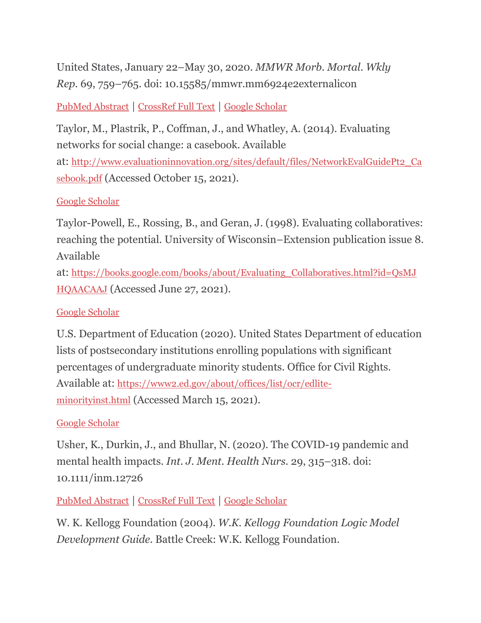United States, January 22–May 30, 2020. *MMWR Morb. Mortal. Wkly Rep.* 69, 759–765. doi: 10.15585/mmwr.mm6924e2externalicon

[PubMed Abstract](https://pubmed.ncbi.nlm.nih.gov/32555134) | [CrossRef Full Text](https://doi.org/10.15585/mmwr.mm6924e2externalicon) | [Google Scholar](http://scholar.google.com/scholar_lookup?author=E.+K.+Stokes&author=L.+D.+Zambrano&author=K.+N.+Anderson&author=E.+P.+Marder&author=K.+M.+Raz&author=A.+El+Burai+Felix&publication_year=2020&title=Coronavirus+disease+2019+case+surveillance+%E2%80%94+United+States+January+22%E2%80%93May+30+2020&journal=MMWR+Morb.+Mortal.+Wkly+Rep.&volume=69&pages=759-765)

Taylor, M., Plastrik, P., Coffman, J., and Whatley, A. (2014). Evaluating networks for social change: a casebook. Available at: [http://www.evaluationinnovation.org/sites/default/files/NetworkEvalGuidePt2\\_Ca](http://www.evaluationinnovation.org/sites/default/files/NetworkEvalGuidePt2_Casebook.pdf) [sebook.pdf](http://www.evaluationinnovation.org/sites/default/files/NetworkEvalGuidePt2_Casebook.pdf) (Accessed October 15, 2021).

### [Google Scholar](http://scholar.google.com/scholar_lookup?author=M.+Taylor&author=P.+Plastrik&author=J.+Coffman&author=A.+Whatley&publication_year=2014&)

Taylor-Powell, E., Rossing, B., and Geran, J. (1998). Evaluating collaboratives: reaching the potential. University of Wisconsin–Extension publication issue 8. Available

at: [https://books.google.com/books/about/Evaluating\\_Collaboratives.html?id=QsMJ](https://books.google.com/books/about/Evaluating_Collaboratives.html?id=QsMJHQAACAAJ) [HQAACAAJ](https://books.google.com/books/about/Evaluating_Collaboratives.html?id=QsMJHQAACAAJ) (Accessed June 27, 2021).

#### [Google Scholar](http://scholar.google.com/scholar_lookup?author=E.+Taylor-Powell&author=B.+Rossing&author=J.+Geran&publication_year=1998&)

U.S. Department of Education (2020). United States Department of education lists of postsecondary institutions enrolling populations with significant percentages of undergraduate minority students. Office for Civil Rights. Available at: [https://www2.ed.gov/about/offices/list/ocr/edlite](https://www2.ed.gov/about/offices/list/ocr/edlite-minorityinst.html)[minorityinst.html](https://www2.ed.gov/about/offices/list/ocr/edlite-minorityinst.html) (Accessed March 15, 2021).

#### [Google Scholar](http://scholar.google.com/scholar_lookup?publication_year=2020&)

Usher, K., Durkin, J., and Bhullar, N. (2020). The COVID-19 pandemic and mental health impacts. *Int. J. Ment. Health Nurs.* 29, 315–318. doi: 10.1111/inm.12726

[PubMed Abstract](https://pubmed.ncbi.nlm.nih.gov/32277578) | [CrossRef Full Text](https://doi.org/10.1111/inm.12726) | [Google Scholar](http://scholar.google.com/scholar_lookup?author=K.+Usher&author=J.+Durkin&author=N.+Bhullar&publication_year=2020&title=The+COVID-19+pandemic+and+mental+health+impacts&journal=Int.+J.+Ment.+Health+Nurs.&volume=29&pages=315-318)

W. K. Kellogg Foundation (2004). *W.K. Kellogg Foundation Logic Model Development Guide.* Battle Creek: W.K. Kellogg Foundation.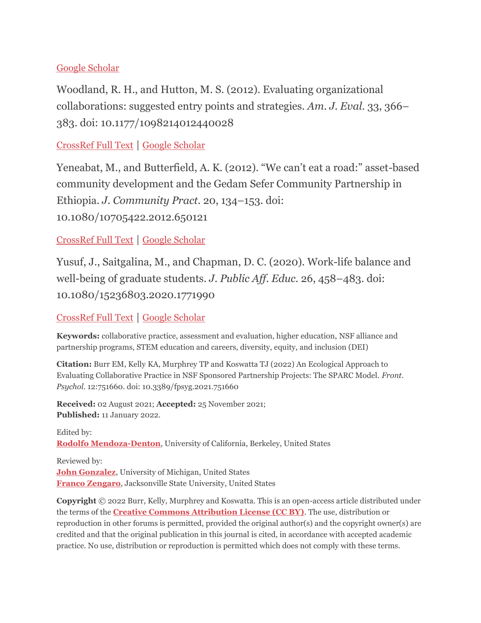#### [Google Scholar](http://scholar.google.com/scholar_lookup?publication_year=2004&journal=W.K.+Kellogg+Foundation+Logic+Model+Development+Guide.&)

Woodland, R. H., and Hutton, M. S. (2012). Evaluating organizational collaborations: suggested entry points and strategies. *Am. J. Eval.* 33, 366– 383. doi: 10.1177/1098214012440028

#### [CrossRef Full Text](https://doi.org/10.1177/1098214012440028) | [Google Scholar](http://scholar.google.com/scholar_lookup?author=R.+H.+Woodland&author=M.+S.+Hutton&publication_year=2012&title=Evaluating+organizational+collaborations:+suggested+entry+points+and+strategies&journal=Am.+J.+Eval.&volume=33&pages=366-383)

Yeneabat, M., and Butterfield, A. K. (2012). "We can't eat a road:" asset-based community development and the Gedam Sefer Community Partnership in Ethiopia. *J. Community Pract.* 20, 134–153. doi: 10.1080/10705422.2012.650121

### [CrossRef Full Text](https://doi.org/10.1080/10705422.2012.650121) | [Google Scholar](http://scholar.google.com/scholar_lookup?author=M.+Yeneabat&author=A.+K.+Butterfield&publication_year=2012&title=%E2%80%9CWe+can%E2%80%99t+eat+a+road:%E2%80%9D+asset-based+community+development+and+the+Gedam+Sefer+Community+Partnership+in+Ethiopia&journal=J.+Community+Pract.&volume=20&pages=134-153)

Yusuf, J., Saitgalina, M., and Chapman, D. C. (2020). Work-life balance and well-being of graduate students. *J. Public Aff. Educ.* 26, 458–483. doi: 10.1080/15236803.2020.1771990

#### [CrossRef Full Text](https://doi.org/10.1080/15236803.2020.1771990) | [Google Scholar](http://scholar.google.com/scholar_lookup?author=J.+Yusuf&author=M.+Saitgalina&author=D.+C.+Chapman&publication_year=2020&title=Work-life+balance+and+well-being+of+graduate+students&journal=J.+Public+Aff.+Educ.&volume=26&pages=458-483)

**Keywords:** collaborative practice, assessment and evaluation, higher education, NSF alliance and partnership programs, STEM education and careers, diversity, equity, and inclusion (DEI)

**Citation:** Burr EM, Kelly KA, Murphrey TP and Koswatta TJ (2022) An Ecological Approach to Evaluating Collaborative Practice in NSF Sponsored Partnership Projects: The SPARC Model. *Front. Psychol*. 12:751660. doi: 10.3389/fpsyg.2021.751660

**Received:** 02 August 2021; **Accepted:** 25 November 2021; **Published:** 11 January 2022.

Edited by: **[Rodolfo Mendoza-Denton](https://loop.frontiersin.org/people/1143505/overview)**, University of California, Berkeley, United States

Reviewed by: **[John Gonzalez](https://loop.frontiersin.org/people/1501332/overview)**, University of Michigan, United States **[Franco Zengaro](https://loop.frontiersin.org/people/166387/overview)**, Jacksonville State University, United States

**Copyright** © 2022 Burr, Kelly, Murphrey and Koswatta. This is an open-access article distributed under the terms of the **[Creative Commons Attribution License \(CC BY\)](http://creativecommons.org/licenses/by/4.0/)**. The use, distribution or reproduction in other forums is permitted, provided the original author(s) and the copyright owner(s) are credited and that the original publication in this journal is cited, in accordance with accepted academic practice. No use, distribution or reproduction is permitted which does not comply with these terms.